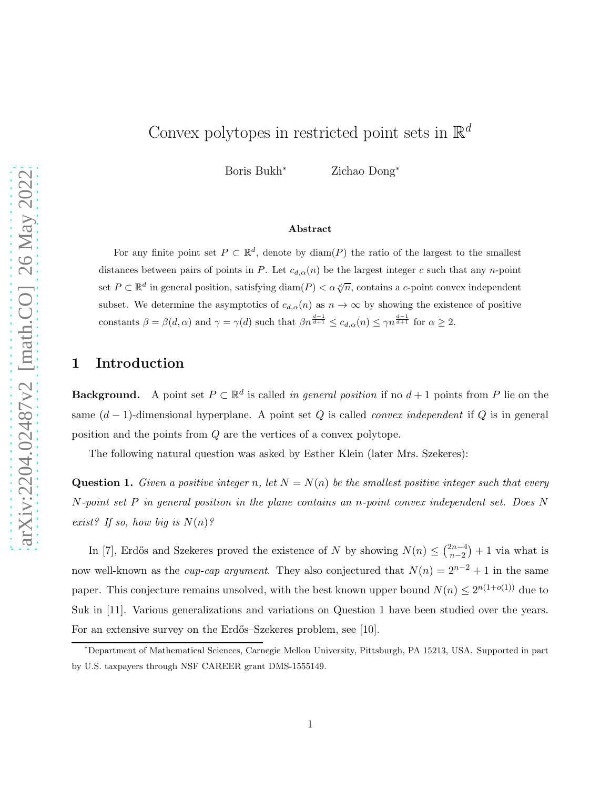# Convex polytopes in restricted point sets in  $\mathbb{R}^d$

Boris Bukh<sup>∗</sup> Zichao Dong<sup>∗</sup>

#### Abstract

For any finite point set  $P \subset \mathbb{R}^d$ , denote by  $\text{diam}(P)$  the ratio of the largest to the smallest distances between pairs of points in P. Let  $c_{d,\alpha}(n)$  be the largest integer c such that any n-point set  $P \subset \mathbb{R}^d$  in general position, satisfying  $\text{diam}(P) < \alpha \sqrt[d]{n}$ , contains a c-point convex independent subset. We determine the asymptotics of  $c_{d,\alpha}(n)$  as  $n \to \infty$  by showing the existence of positive constants  $\beta = \beta(d, \alpha)$  and  $\gamma = \gamma(d)$  such that  $\beta n^{\frac{d-1}{d+1}} \leq c_{d,\alpha}(n) \leq \gamma n^{\frac{d-1}{d+1}}$  for  $\alpha \geq 2$ .

## 1 Introduction

**Background.** A point set  $P \subset \mathbb{R}^d$  is called in general position if no  $d+1$  points from P lie on the same  $(d-1)$ -dimensional hyperplane. A point set Q is called *convex independent* if Q is in general position and the points from Q are the vertices of a convex polytope.

<span id="page-0-0"></span>The following natural question was asked by Esther Klein (later Mrs. Szekeres):

**Question 1.** Given a positive integer n, let  $N = N(n)$  be the smallest positive integer such that every N-point set P in general position in the plane contains an n-point convex independent set. Does N exist? If so, how big is  $N(n)$ ?

In [\[7\]](#page-19-0), Erdős and Szekeres proved the existence of N by showing  $N(n) \leq {2n-4 \choose n-2}$  $\binom{2n-4}{n-2}+1$  via what is now well-known as the *cup-cap argument*. They also conjectured that  $N(n) = 2^{n-2} + 1$  in the same paper. This conjecture remains unsolved, with the best known upper bound  $N(n) \leq 2^{n(1+o(1))}$  due to Suk in [\[11\]](#page-19-1). Various generalizations and variations on [Question 1](#page-0-0) have been studied over the years. For an extensive survey on the Erdős–Szekeres problem, see [\[10\]](#page-19-2).

<sup>∗</sup>Department of Mathematical Sciences, Carnegie Mellon University, Pittsburgh, PA 15213, USA. Supported in part by U.S. taxpayers through NSF CAREER grant DMS-1555149.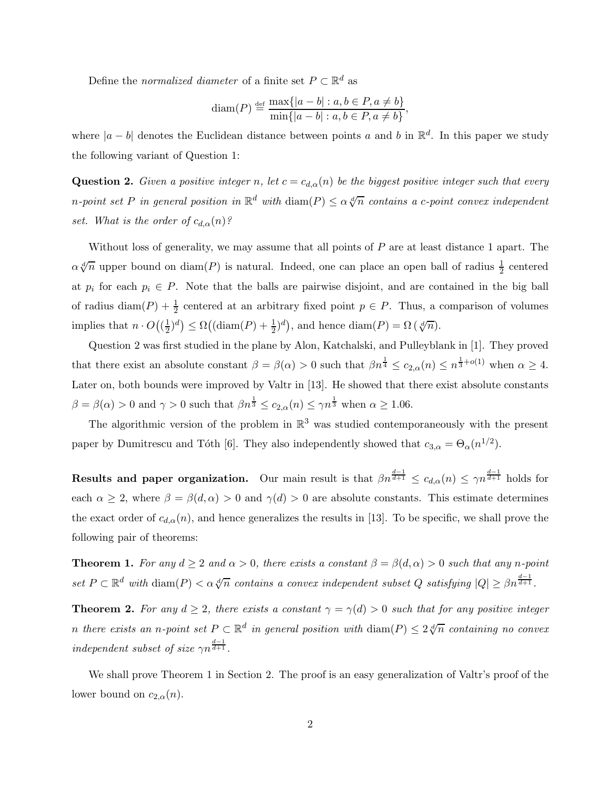Define the normalized diameter of a finite set  $P \subset \mathbb{R}^d$  as

$$
diam(P) \stackrel{\text{def}}{=} \frac{\max\{|a-b| : a, b \in P, a \neq b\}}{\min\{|a-b| : a, b \in P, a \neq b\}},
$$

<span id="page-1-0"></span>where  $|a - b|$  denotes the Euclidean distance between points a and b in  $\mathbb{R}^d$ . In this paper we study the following variant of [Question 1:](#page-0-0)

**Question 2.** Given a positive integer n, let  $c = c_{d,\alpha}(n)$  be the biggest positive integer such that every n-point set P in general position in  $\mathbb{R}^d$  with  $\text{diam}(P) \leq \alpha \sqrt[d]{n}$  contains a c-point convex independent set. What is the order of  $c_{d,\alpha}(n)$ ?

Without loss of generality, we may assume that all points of  $P$  are at least distance 1 apart. The  $\alpha \sqrt[d]{n}$  upper bound on  $\text{diam}(P)$  is natural. Indeed, one can place an open ball of radius  $\frac{1}{2}$  centered at  $p_i$  for each  $p_i \in P$ . Note that the balls are pairwise disjoint, and are contained in the big ball of radius  $\text{diam}(P) + \frac{1}{2}$  centered at an arbitrary fixed point  $p \in P$ . Thus, a comparison of volumes implies that  $n \cdot O\left(\left(\frac{1}{2}\right)\right)$  $(\frac{1}{2})^d$   $\leq \Omega((\text{diam}(P) + \frac{1}{2})^d)$ , and hence  $\text{diam}(P) = \Omega(\sqrt[d]{n})$ .

[Question 2](#page-1-0) was first studied in the plane by Alon, Katchalski, and Pulleyblank in [\[1\]](#page-18-0). They proved that there exist an absolute constant  $\beta = \beta(\alpha) > 0$  such that  $\beta n^{\frac{1}{4}} \le c_{2,\alpha}(n) \le n^{\frac{1}{3}+o(1)}$  when  $\alpha \ge 4$ . Later on, both bounds were improved by Valtr in [\[13\]](#page-19-3). He showed that there exist absolute constants  $\beta = \beta(\alpha) > 0$  and  $\gamma > 0$  such that  $\beta n^{\frac{1}{3}} \le c_{2,\alpha}(n) \le \gamma n^{\frac{1}{3}}$  when  $\alpha \ge 1.06$ .

The algorithmic version of the problem in  $\mathbb{R}^3$  was studied contemporaneously with the present paper by Dumitrescu and Tóth [\[6\]](#page-19-4). They also independently showed that  $c_{3,\alpha} = \Theta_{\alpha}(n^{1/2})$ .

**Results and paper organization.** Our main result is that  $\beta n^{\frac{d-1}{d+1}} \leq c_{d,\alpha}(n) \leq \gamma n^{\frac{d-1}{d+1}}$  holds for each  $\alpha \geq 2$ , where  $\beta = \beta(d, \alpha) > 0$  and  $\gamma(d) > 0$  are absolute constants. This estimate determines the exact order of  $c_{d,\alpha}(n)$ , and hence generalizes the results in [\[13\]](#page-19-3). To be specific, we shall prove the following pair of theorems:

<span id="page-1-1"></span>**Theorem 1.** For any  $d \ge 2$  and  $\alpha > 0$ , there exists a constant  $\beta = \beta(d, \alpha) > 0$  such that any n-point  $set P \subset \mathbb{R}^d$  with  $\text{diam}(P) < \alpha \sqrt[d]{n}$  contains a convex independent subset Q satisfying  $|Q| \geq \beta n^{\frac{d-1}{d+1}}$ .

<span id="page-1-2"></span>**Theorem 2.** For any  $d \geq 2$ , there exists a constant  $\gamma = \gamma(d) > 0$  such that for any positive integer n there exists an n-point set  $P \subset \mathbb{R}^d$  in general position with  $\text{diam}(P) \leq 2\sqrt[d]{n}$  containing no convex independent subset of size  $\gamma n^{\frac{d-1}{d+1}}$ .

We shall prove [Theorem 1](#page-1-1) in [Section 2.](#page-2-0) The proof is an easy generalization of Valtr's proof of the lower bound on  $c_{2,\alpha}(n)$ .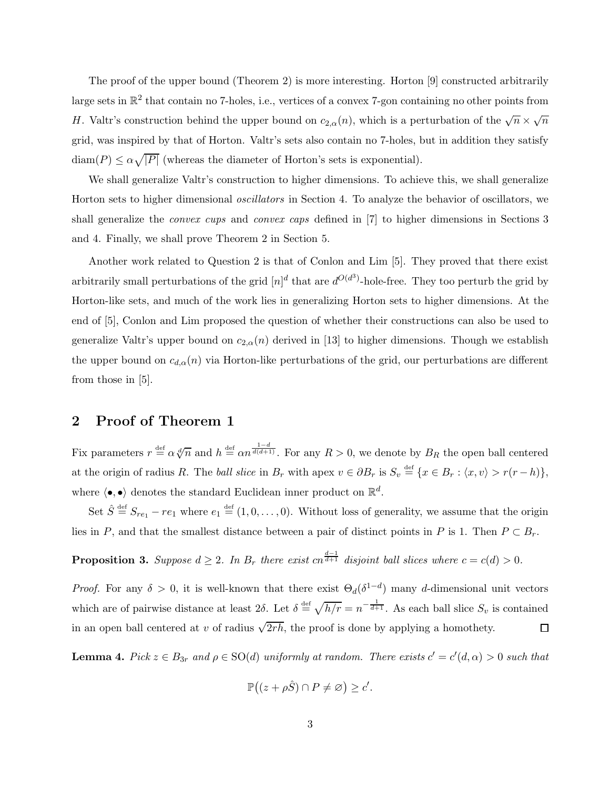The proof of the upper bound [\(Theorem 2\)](#page-1-2) is more interesting. Horton [\[9\]](#page-19-5) constructed arbitrarily large sets in  $\mathbb{R}^2$  that contain no 7-holes, i.e., vertices of a convex 7-gon containing no other points from H. Valtr's construction behind the upper bound on  $c_{2,\alpha}(n)$ , which is a perturbation of the  $\sqrt{n} \times \sqrt{n}$ grid, was inspired by that of Horton. Valtr's sets also contain no 7-holes, but in addition they satisfy  $\text{diam}(P) \leq \alpha \sqrt{|P|}$  (whereas the diameter of Horton's sets is exponential).

We shall generalize Valtr's construction to higher dimensions. To achieve this, we shall generalize Horton sets to higher dimensional oscillators in [Section 4.](#page-8-0) To analyze the behavior of oscillators, we shall generalize the *convex cups* and *convex caps* defined in [\[7\]](#page-19-0) to higher dimensions in [Sections 3](#page-4-0) and [4.](#page-8-0) Finally, we shall prove [Theorem 2](#page-1-2) in [Section 5.](#page-13-0)

Another work related to [Question 2](#page-1-0) is that of Conlon and Lim [\[5\]](#page-19-6). They proved that there exist arbitrarily small perturbations of the grid  $[n]^d$  that are  $d^{O(d^3)}$ -hole-free. They too perturb the grid by Horton-like sets, and much of the work lies in generalizing Horton sets to higher dimensions. At the end of [\[5\]](#page-19-6), Conlon and Lim proposed the question of whether their constructions can also be used to generalize Valtr's upper bound on  $c_{2,\alpha}(n)$  derived in [\[13\]](#page-19-3) to higher dimensions. Though we establish the upper bound on  $c_{d,\alpha}(n)$  via Horton-like perturbations of the grid, our perturbations are different from those in [\[5\]](#page-19-6).

## <span id="page-2-0"></span>2 Proof of [Theorem 1](#page-1-1)

Fix parameters  $r \stackrel{\text{def}}{=} \alpha \sqrt[d]{n}$  and  $h \stackrel{\text{def}}{=} \alpha n^{\frac{1-d}{d(d+1)}}$ . For any  $R > 0$ , we denote by  $B_R$  the open ball centered at the origin of radius R. The *ball slice* in  $B_r$  with apex  $v \in \partial B_r$  is  $S_v \stackrel{\text{def}}{=} \{x \in B_r : \langle x, v \rangle > r(r-h)\},\$ where  $\langle \bullet, \bullet \rangle$  denotes the standard Euclidean inner product on  $\mathbb{R}^d$ .

<span id="page-2-2"></span>Set  $\hat{S} \stackrel{\text{def}}{=} S_{re_1} - re_1$  where  $e_1 \stackrel{\text{def}}{=} (1, 0, \ldots, 0)$ . Without loss of generality, we assume that the origin lies in P, and that the smallest distance between a pair of distinct points in P is 1. Then  $P \subset B_r$ .

**Proposition 3.** Suppose  $d \geq 2$ . In  $B_r$  there exist  $cn^{\frac{d-1}{d+1}}$  disjoint ball slices where  $c = c(d) > 0$ .

*Proof.* For any  $\delta > 0$ , it is well-known that there exist  $\Theta_d(\delta^{1-d})$  many d-dimensional unit vectors which are of pairwise distance at least  $2\delta$ . Let  $\delta \stackrel{\text{def}}{=} \sqrt{h/r} = n^{-\frac{1}{d+1}}$ . As each ball slice  $S_v$  is contained in an open ball centered at v of radius  $\sqrt{2rh}$ , the proof is done by applying a homothety.  $\Box$ 

<span id="page-2-1"></span>**Lemma 4.** Pick  $z \in B_{3r}$  and  $\rho \in SO(d)$  uniformly at random. There exists  $c' = c'(d, \alpha) > 0$  such that

$$
\mathbb{P}\big((z+\rho\hat{S})\cap P\neq\varnothing\big)\geq c'.
$$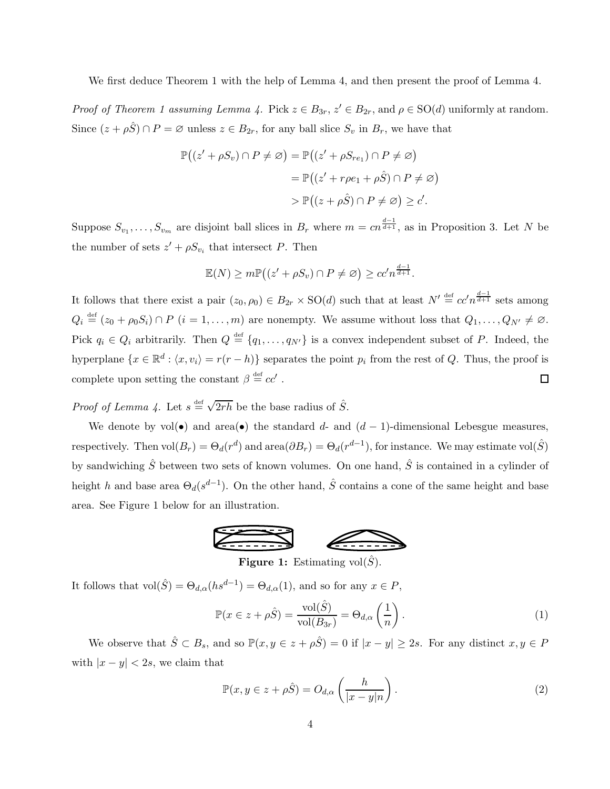We first deduce [Theorem 1](#page-1-1) with the help of [Lemma 4,](#page-2-1) and then present the proof of [Lemma 4.](#page-2-1)

*Proof of [Theorem 1](#page-1-1) assuming [Lemma 4.](#page-2-1)* Pick  $z \in B_{3r}$ ,  $z' \in B_{2r}$ , and  $\rho \in SO(d)$  uniformly at random. Since  $(z + \rho \hat{S}) \cap P = \emptyset$  unless  $z \in B_{2r}$ , for any ball slice  $S_v$  in  $B_r$ , we have that

$$
\mathbb{P}((z' + \rho S_v) \cap P \neq \varnothing) = \mathbb{P}((z' + \rho S_{re_1}) \cap P \neq \varnothing)
$$

$$
= \mathbb{P}((z' + r\rho e_1 + \rho \hat{S}) \cap P \neq \varnothing)
$$

$$
> \mathbb{P}((z + \rho \hat{S}) \cap P \neq \varnothing) \geq c'.
$$

Suppose  $S_{v_1}, \ldots, S_{v_m}$  are disjoint ball slices in  $B_r$  where  $m = cn^{\frac{d-1}{d+1}}$ , as in [Proposition 3.](#page-2-2) Let N be the number of sets  $z' + \rho S_{v_i}$  that intersect P. Then

$$
\mathbb{E}(N) \ge m \mathbb{P}\big((z' + \rho S_v) \cap P \ne \emptyset\big) \ge c c' n^{\frac{d-1}{d+1}}.
$$

It follows that there exist a pair  $(z_0, \rho_0) \in B_{2r} \times SO(d)$  such that at least  $N' \stackrel{\text{def}}{=} cc'n^{\frac{d-1}{d+1}}$  sets among  $Q_i \stackrel{\text{def}}{=} (z_0 + \rho_0 S_i) \cap P$   $(i = 1, ..., m)$  are nonempty. We assume without loss that  $Q_1, ..., Q_{N'} \neq \emptyset$ . Pick  $q_i \in Q_i$  arbitrarily. Then  $Q \stackrel{\text{def}}{=} \{q_1, \ldots, q_{N'}\}$  is a convex independent subset of P. Indeed, the hyperplane  $\{x \in \mathbb{R}^d : \langle x, v_i \rangle = r(r-h)\}$  separates the point  $p_i$  from the rest of Q. Thus, the proof is complete upon setting the constant  $\beta \stackrel{\text{def}}{=} cc'$ .  $\Box$ 

*Proof of [Lemma 4.](#page-2-1)* Let  $s \stackrel{\text{def}}{=} \sqrt{2rh}$  be the base radius of  $\hat{S}$ .

We denote by vol(•) and area(•) the standard d- and  $(d-1)$ -dimensional Lebesgue measures, respectively. Then  $vol(B_r) = \Theta_d(r^d)$  and  $area(\partial B_r) = \Theta_d(r^{d-1})$ , for instance. We may estimate  $vol(\hat{S})$ by sandwiching  $\hat{S}$  between two sets of known volumes. On one hand,  $\hat{S}$  is contained in a cylinder of height h and base area  $\Theta_d(s^{d-1})$ . On the other hand,  $\hat{S}$  contains a cone of the same height and base area. See [Figure 1](#page-3-0) below for an illustration.



<span id="page-3-1"></span><span id="page-3-0"></span>Figure 1: Estimating vol $(\hat{S})$ .

It follows that  $vol(\hat{S}) = \Theta_{d,\alpha}(hs^{d-1}) = \Theta_{d,\alpha}(1)$ , and so for any  $x \in P$ ,

$$
\mathbb{P}(x \in z + \rho \hat{S}) = \frac{\text{vol}(\hat{S})}{\text{vol}(B_{3r})} = \Theta_{d,\alpha} \left(\frac{1}{n}\right). \tag{1}
$$

We observe that  $\hat{S} \subset B_s$ , and so  $\mathbb{P}(x, y \in z + \rho \hat{S}) = 0$  if  $|x - y| \ge 2s$ . For any distinct  $x, y \in P$ with  $|x - y| < 2s$ , we claim that

<span id="page-3-2"></span>
$$
\mathbb{P}(x, y \in z + \rho \hat{S}) = O_{d,\alpha}\left(\frac{h}{|x - y|n}\right).
$$
\n(2)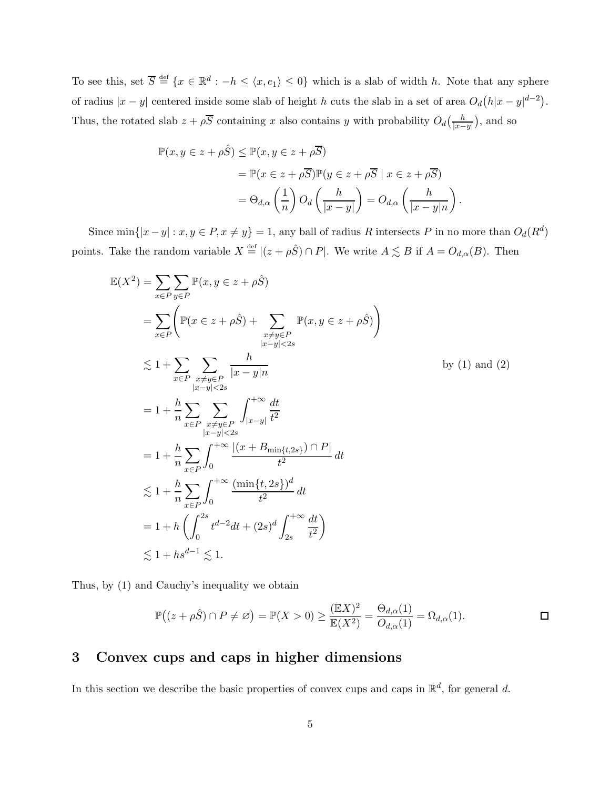To see this, set  $\overline{S} \stackrel{\text{def}}{=} \{x \in \mathbb{R}^d : -h \le \langle x, e_1 \rangle \le 0\}$  which is a slab of width h. Note that any sphere of radius  $|x - y|$  centered inside some slab of height h cuts the slab in a set of area  $O_d(h|x - y|^{d-2})$ . Thus, the rotated slab  $z + \rho \overline{S}$  containing x also contains y with probability  $O_d\left(\frac{h}{|x - \rho|}\right)$  $\frac{h}{|x-y|}$ ), and so

$$
\mathbb{P}(x, y \in z + \rho \hat{S}) \leq \mathbb{P}(x, y \in z + \rho \overline{S})
$$
  
= 
$$
\mathbb{P}(x \in z + \rho \overline{S}) \mathbb{P}(y \in z + \rho \overline{S} \mid x \in z + \rho \overline{S})
$$
  
= 
$$
\Theta_{d,\alpha} \left(\frac{1}{n}\right) O_d \left(\frac{h}{|x-y|}\right) = O_{d,\alpha} \left(\frac{h}{|x-y|n}\right).
$$

Since  $\min\{|x-y| : x, y \in P, x \neq y\} = 1$ , any ball of radius R intersects P in no more than  $O_d(R^d)$ points. Take the random variable  $X \stackrel{\text{def}}{=} |(z + \rho \hat{S}) \cap P|$ . We write  $A \lesssim B$  if  $A = O_{d,\alpha}(B)$ . Then

$$
\mathbb{E}(X^{2}) = \sum_{x \in P} \sum_{y \in P} \mathbb{P}(x, y \in z + \rho \hat{S})
$$
\n
$$
= \sum_{x \in P} \left( \mathbb{P}(x \in z + \rho \hat{S}) + \sum_{\substack{x \neq y \in P \\ |x - y| < 2s}} \mathbb{P}(x, y \in z + \rho \hat{S}) \right)
$$
\n
$$
\lesssim 1 + \sum_{x \in P} \sum_{\substack{x \neq y \in P \\ |x - y| < 2s}} \frac{h}{|x - y|n} \qquad \text{by (1) and (2)}
$$
\n
$$
= 1 + \frac{h}{n} \sum_{x \in P} \sum_{\substack{x \neq y \in P \\ |x - y| < 2s}} \int_{|x - y|}^{+\infty} \frac{dt}{|x^{2}} \Big|_{x^{2} = 1 + \frac{h}{n} \sum_{x \in P} \int_{0}^{+\infty} \frac{|(x + B_{\min\{t, 2s\}}) \cap P|}{t^{2}} dt \Big|_{x^{2} = 1 + h \left( \int_{0}^{2s} t^{d - 2} dt + (2s)^{d} \int_{2s}^{+\infty} \frac{dt}{t^{2}} \right)} \Big|_{x = 1 + h \left( \int_{0}^{2s} t^{d - 2} dt + (2s)^{d} \int_{2s}^{+\infty} \frac{dt}{t^{2}} \right)} \Big|_{x = 1 + h s^{d - 1} \lesssim 1.
$$

Thus, by [\(1\)](#page-3-1) and Cauchy's inequality we obtain

$$
\mathbb{P}((z+\rho \hat{S}) \cap P \neq \varnothing) = \mathbb{P}(X > 0) \ge \frac{(\mathbb{E}X)^2}{\mathbb{E}(X^2)} = \frac{\Theta_{d,\alpha}(1)}{O_{d,\alpha}(1)} = \Omega_{d,\alpha}(1).
$$

## <span id="page-4-0"></span>3 Convex cups and caps in higher dimensions

In this section we describe the basic properties of convex cups and caps in  $\mathbb{R}^d$ , for general d.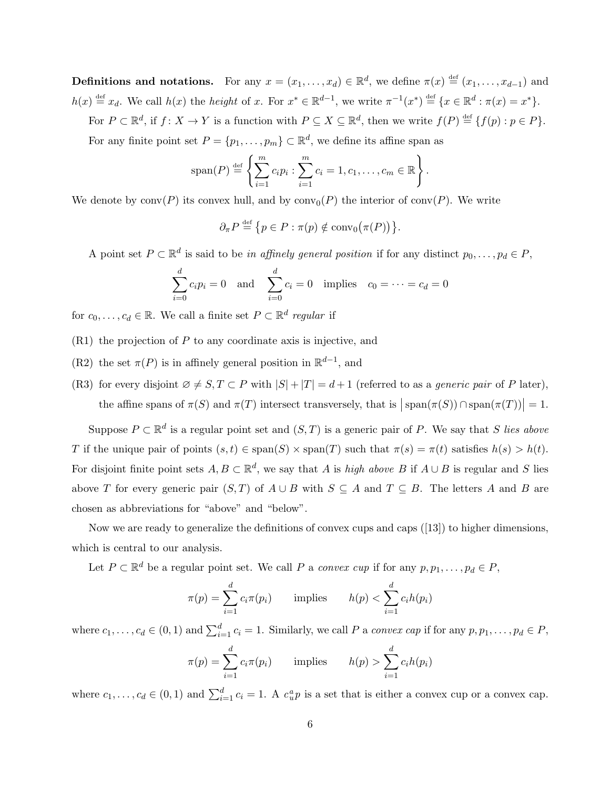**Definitions and notations.** For any  $x = (x_1, \ldots, x_d) \in \mathbb{R}^d$ , we define  $\pi(x) \stackrel{\text{def}}{=} (x_1, \ldots, x_{d-1})$  and  $h(x) \stackrel{\text{def}}{=} x_d$ . We call  $h(x)$  the *height* of x. For  $x^* \in \mathbb{R}^{d-1}$ , we write  $\pi^{-1}(x^*) \stackrel{\text{def}}{=} \{x \in \mathbb{R}^d : \pi(x) = x^*\}.$ 

For  $P \subset \mathbb{R}^d$ , if  $f: X \to Y$  is a function with  $P \subseteq X \subseteq \mathbb{R}^d$ , then we write  $f(P) \stackrel{\text{def}}{=} \{f(p) : p \in P\}$ .

For any finite point set  $P = \{p_1, \ldots, p_m\} \subset \mathbb{R}^d$ , we define its affine span as

$$
span(P) \stackrel{\text{def}}{=} \left\{ \sum_{i=1}^{m} c_i p_i : \sum_{i=1}^{m} c_i = 1, c_1, \dots, c_m \in \mathbb{R} \right\}.
$$

We denote by conv(P) its convex hull, and by  $\text{conv}_0(P)$  the interior of  $\text{conv}(P)$ . We write

$$
\partial_{\pi} P \stackrel{\text{def}}{=} \{ p \in P : \pi(p) \notin \text{conv}_0(\pi(P)) \}.
$$

A point set  $P \subset \mathbb{R}^d$  is said to be in affinely general position if for any distinct  $p_0, \ldots, p_d \in P$ ,

$$
\sum_{i=0}^{d} c_i p_i = 0 \text{ and } \sum_{i=0}^{d} c_i = 0 \text{ implies } c_0 = \dots = c_d = 0
$$

<span id="page-5-2"></span>for  $c_0, \ldots, c_d \in \mathbb{R}$ . We call a finite set  $P \subset \mathbb{R}^d$  regular if

- <span id="page-5-0"></span> $(R1)$  the projection of P to any coordinate axis is injective, and
- <span id="page-5-1"></span>(R2) the set  $\pi(P)$  is in affinely general position in  $\mathbb{R}^{d-1}$ , and
- (R3) for every disjoint  $\emptyset \neq S, T \subset P$  with  $|S| + |T| = d + 1$  (referred to as a *generic pair* of P later), the affine spans of  $\pi(S)$  and  $\pi(T)$  intersect transversely, that is  $|\text{span}(\pi(S)) \cap \text{span}(\pi(T))| = 1$ .

Suppose  $P \subset \mathbb{R}^d$  is a regular point set and  $(S, T)$  is a generic pair of P. We say that S lies above T if the unique pair of points  $(s, t) \in \text{span}(S) \times \text{span}(T)$  such that  $\pi(s) = \pi(t)$  satisfies  $h(s) > h(t)$ . For disjoint finite point sets  $A, B \subset \mathbb{R}^d$ , we say that A is high above B if  $A \cup B$  is regular and S lies above T for every generic pair  $(S, T)$  of  $A \cup B$  with  $S \subseteq A$  and  $T \subseteq B$ . The letters A and B are chosen as abbreviations for "above" and "below".

Now we are ready to generalize the definitions of convex cups and caps([\[13\]](#page-19-3)) to higher dimensions, which is central to our analysis.

Let  $P \subset \mathbb{R}^d$  be a regular point set. We call P a *convex cup* if for any  $p, p_1, \ldots, p_d \in P$ ,

$$
\pi(p) = \sum_{i=1}^{d} c_i \pi(p_i) \quad \text{implies} \quad h(p) < \sum_{i=1}^{d} c_i h(p_i)
$$

where  $c_1, \ldots, c_d \in (0, 1)$  and  $\sum_{i=1}^d c_i = 1$ . Similarly, we call P a convex cap if for any  $p, p_1, \ldots, p_d \in P$ ,

$$
\pi(p) = \sum_{i=1}^{d} c_i \pi(p_i) \quad \text{implies} \quad h(p) > \sum_{i=1}^{d} c_i h(p_i)
$$

where  $c_1, \ldots, c_d \in (0,1)$  and  $\sum_{i=1}^d c_i = 1$ . A  $c_u^a p$  is a set that is either a convex cup or a convex cap.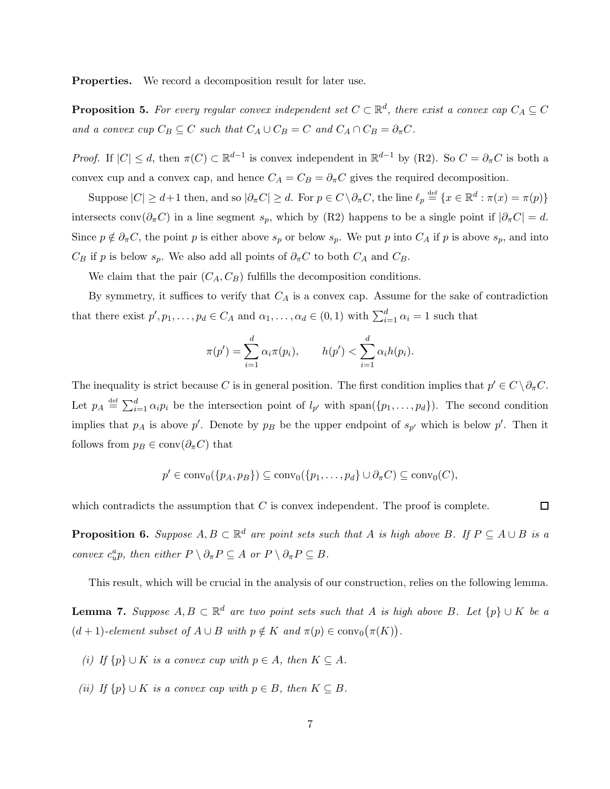<span id="page-6-2"></span>Properties. We record a decomposition result for later use.

**Proposition 5.** For every regular convex independent set  $C \subset \mathbb{R}^d$ , there exist a convex cap  $C_A \subseteq C$ and a convex cup  $C_B \subseteq C$  such that  $C_A \cup C_B = C$  and  $C_A \cap C_B = \partial_{\pi} C$ .

*Proof.* If  $|C| \le d$ , then  $\pi(C) \subset \mathbb{R}^{d-1}$  is convex independent in  $\mathbb{R}^{d-1}$  by [\(R2\).](#page-5-0) So  $C = \partial_{\pi} C$  is both a convex cup and a convex cap, and hence  $C_A = C_B = \partial_{\pi} C$  gives the required decomposition.

Suppose  $|C| \ge d+1$  then, and so  $|\partial_{\pi}C| \ge d$ . For  $p \in C \setminus \partial_{\pi}C$ , the line  $\ell_p \stackrel{\text{def}}{=} \{x \in \mathbb{R}^d : \pi(x) = \pi(p)\}$ intersects conv $(\partial_{\pi}C)$  in a line segment  $s_p$ , which by [\(R2\)](#page-5-0) happens to be a single point if  $|\partial_{\pi}C|=d$ . Since  $p \notin \partial_{\pi}C$ , the point p is either above  $s_p$  or below  $s_p$ . We put p into  $C_A$  if p is above  $s_p$ , and into  $C_B$  if p is below  $s_p$ . We also add all points of  $\partial_{\pi}C$  to both  $C_A$  and  $C_B$ .

We claim that the pair  $(C_A, C_B)$  fulfills the decomposition conditions.

By symmetry, it suffices to verify that  $C_A$  is a convex cap. Assume for the sake of contradiction that there exist  $p', p_1, \ldots, p_d \in C_A$  and  $\alpha_1, \ldots, \alpha_d \in (0, 1)$  with  $\sum_{i=1}^d \alpha_i = 1$  such that

$$
\pi(p') = \sum_{i=1}^{d} \alpha_i \pi(p_i), \qquad h(p') < \sum_{i=1}^{d} \alpha_i h(p_i).
$$

The inequality is strict because C is in general position. The first condition implies that  $p' \in C \setminus \partial_{\pi}C$ . Let  $p_A \stackrel{\text{def}}{=} \sum_{i=1}^d \alpha_i p_i$  be the intersection point of  $l_{p'}$  with span $(\{p_1, \ldots, p_d\})$ . The second condition implies that  $p_A$  is above p'. Denote by  $p_B$  be the upper endpoint of  $s_{p'}$  which is below p'. Then it follows from  $p_B \in \text{conv}(\partial_{\pi}C)$  that

$$
p' \in \operatorname{conv}_0(\{p_A, p_B\}) \subseteq \operatorname{conv}_0(\{p_1, \ldots, p_d\} \cup \partial_{\pi}C) \subseteq \operatorname{conv}_0(C),
$$

 $\Box$ 

<span id="page-6-0"></span>which contradicts the assumption that  $C$  is convex independent. The proof is complete.

**Proposition 6.** Suppose  $A, B \subset \mathbb{R}^d$  are point sets such that A is high above B. If  $P \subseteq A \cup B$  is a convex  $c_u^a p$ , then either  $P \setminus \partial_{\pi} P \subseteq A$  or  $P \setminus \partial_{\pi} P \subseteq B$ .

<span id="page-6-1"></span>This result, which will be crucial in the analysis of our construction, relies on the following lemma.

**Lemma 7.** Suppose  $A, B \subset \mathbb{R}^d$  are two point sets such that A is high above B. Let  $\{p\} \cup K$  be a  $(d+1)$ -element subset of  $A \cup B$  with  $p \notin K$  and  $\pi(p) \in \text{conv}_0(\pi(K))$ .

- (i) If  $\{p\} \cup K$  is a convex cup with  $p \in A$ , then  $K \subseteq A$ .
- (ii) If  $\{p\} \cup K$  is a convex cap with  $p \in B$ , then  $K \subseteq B$ .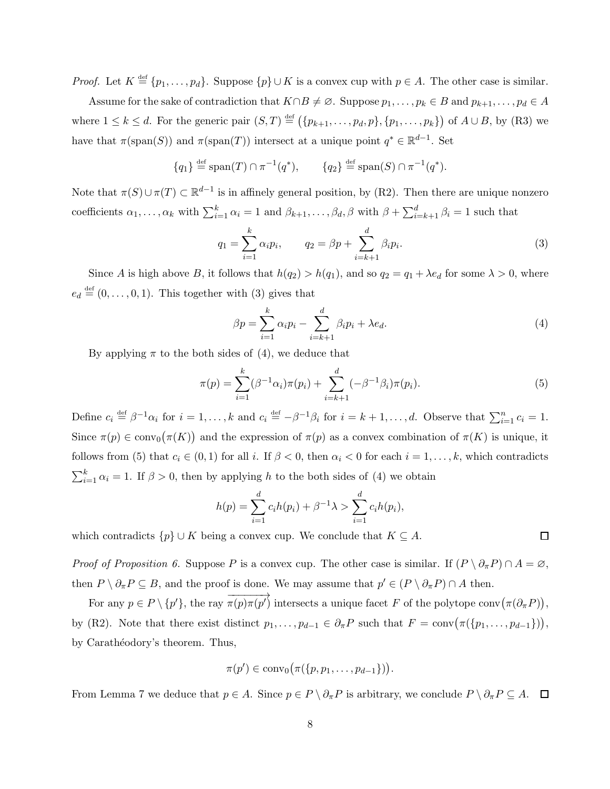*Proof.* Let  $K \stackrel{\text{def}}{=} \{p_1, \ldots, p_d\}$ . Suppose  $\{p\} \cup K$  is a convex cup with  $p \in A$ . The other case is similar.

Assume for the sake of contradiction that  $K \cap B \neq \emptyset$ . Suppose  $p_1, \ldots, p_k \in B$  and  $p_{k+1}, \ldots, p_d \in A$ where  $1 \leq k \leq d$ . For the generic pair  $(S,T) \stackrel{\text{def}}{=} (\{p_{k+1},\ldots,p_d,p\},\{p_1,\ldots,p_k\})$  of  $A \cup B$ , by  $(R3)$  we have that  $\pi(\text{span}(S))$  and  $\pi(\text{span}(T))$  intersect at a unique point  $q^* \in \mathbb{R}^{d-1}$ . Set

$$
\{q_1\} \stackrel{\text{def}}{=} \text{span}(T) \cap \pi^{-1}(q^*), \qquad \{q_2\} \stackrel{\text{def}}{=} \text{span}(S) \cap \pi^{-1}(q^*).
$$

Note that  $\pi(S) \cup \pi(T) \subset \mathbb{R}^{d-1}$  is in affinely general position, by [\(R2\).](#page-5-0) Then there are unique nonzero coefficients  $\alpha_1, \ldots, \alpha_k$  with  $\sum_{i=1}^k \alpha_i = 1$  and  $\beta_{k+1}, \ldots, \beta_d, \beta$  with  $\beta + \sum_{i=k+1}^d \beta_i = 1$  such that

<span id="page-7-0"></span>
$$
q_1 = \sum_{i=1}^{k} \alpha_i p_i, \qquad q_2 = \beta p + \sum_{i=k+1}^{d} \beta_i p_i.
$$
 (3)

Since A is high above B, it follows that  $h(q_2) > h(q_1)$ , and so  $q_2 = q_1 + \lambda e_d$  for some  $\lambda > 0$ , where  $e_d \stackrel{\text{def}}{=} (0, \ldots, 0, 1)$ . This together with [\(3\)](#page-7-0) gives that

<span id="page-7-2"></span><span id="page-7-1"></span>
$$
\beta p = \sum_{i=1}^{k} \alpha_i p_i - \sum_{i=k+1}^{d} \beta_i p_i + \lambda e_d.
$$
\n(4)

By applying  $\pi$  to the both sides of [\(4\)](#page-7-1), we deduce that

$$
\pi(p) = \sum_{i=1}^{k} (\beta^{-1} \alpha_i) \pi(p_i) + \sum_{i=k+1}^{d} (-\beta^{-1} \beta_i) \pi(p_i).
$$
\n(5)

Define  $c_i \stackrel{\text{def}}{=} \beta^{-1} \alpha_i$  for  $i = 1, ..., k$  and  $c_i \stackrel{\text{def}}{=} -\beta^{-1} \beta_i$  for  $i = k + 1, ..., d$ . Observe that  $\sum_{i=1}^n c_i = 1$ . Since  $\pi(p) \in \text{conv}_0(\pi(K))$  and the expression of  $\pi(p)$  as a convex combination of  $\pi(K)$  is unique, it follows from [\(5\)](#page-7-2) that  $c_i \in (0,1)$  for all i. If  $\beta < 0$ , then  $\alpha_i < 0$  for each  $i = 1, \ldots, k$ , which contradicts  $\sum_{i=1}^{k} \alpha_i = 1$ . If  $\beta > 0$ , then by applying h to the both sides of [\(4\)](#page-7-1) we obtain

$$
h(p) = \sum_{i=1}^{d} c_i h(p_i) + \beta^{-1} \lambda > \sum_{i=1}^{d} c_i h(p_i),
$$

which contradicts  $\{p\} \cup K$  being a convex cup. We conclude that  $K \subseteq A$ .

*Proof of [Proposition 6.](#page-6-0)* Suppose P is a convex cup. The other case is similar. If  $(P \setminus \partial_{\pi} P) \cap A = \emptyset$ , then  $P \setminus \partial_{\pi} P \subseteq B$ , and the proof is done. We may assume that  $p' \in (P \setminus \partial_{\pi} P) \cap A$  then.

For any  $p \in P \setminus \{p'\}$ , the ray  $\overline{\pi(p)\pi(p')}$  intersects a unique facet F of the polytope conv $(\pi(\partial_{\pi}P))$ , by [\(R2\).](#page-5-0) Note that there exist distinct  $p_1, \ldots, p_{d-1} \in \partial_{\pi} P$  such that  $F = \text{conv}(\pi(\{p_1, \ldots, p_{d-1}\}))$ , by Carathéodory's theorem. Thus,

$$
\pi(p') \in \mathrm{conv}_0(\pi(\{p, p_1, \ldots, p_{d-1}\})).
$$

From [Lemma 7](#page-6-1) we deduce that  $p \in A$ . Since  $p \in P \setminus \partial_{\pi} P$  is arbitrary, we conclude  $P \setminus \partial_{\pi} P \subseteq A$ .  $\Box$ 

 $\Box$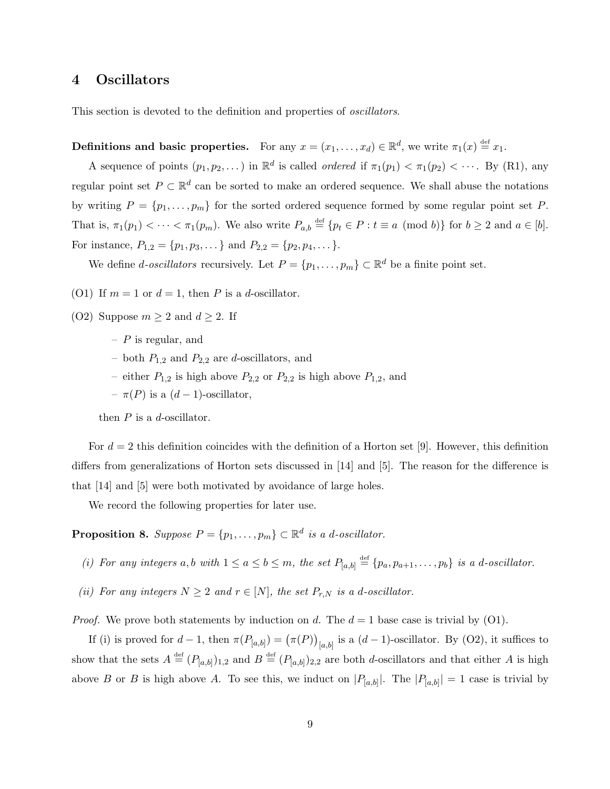### <span id="page-8-0"></span>4 Oscillators

This section is devoted to the definition and properties of oscillators.

**Definitions and basic properties.** For any  $x = (x_1, \ldots, x_d) \in \mathbb{R}^d$ , we write  $\pi_1(x) \stackrel{\text{def}}{=} x_1$ .

A sequence of points  $(p_1, p_2, \dots)$  in  $\mathbb{R}^d$  is called *ordered* if  $\pi_1(p_1) < \pi_1(p_2) < \cdots$ . By [\(R1\),](#page-5-2) any regular point set  $P \subset \mathbb{R}^d$  can be sorted to make an ordered sequence. We shall abuse the notations by writing  $P = \{p_1, \ldots, p_m\}$  for the sorted ordered sequence formed by some regular point set P. That is,  $\pi_1(p_1) < \cdots < \pi_1(p_m)$ . We also write  $P_{a,b} \stackrel{\text{def}}{=} \{p_t \in P : t \equiv a \pmod{b}\}$  for  $b \ge 2$  and  $a \in [b]$ . For instance,  $P_{1,2} = \{p_1, p_3, \dots\}$  and  $P_{2,2} = \{p_2, p_4, \dots\}.$ 

<span id="page-8-1"></span>We define *d*-*oscillators* recursively. Let  $P = \{p_1, \ldots, p_m\} \subset \mathbb{R}^d$  be a finite point set.

- <span id="page-8-3"></span>(O1) If  $m = 1$  or  $d = 1$ , then P is a d-oscillator.
- (O2) Suppose  $m \geq 2$  and  $d \geq 2$ . If
	- $-$  P is regular, and
	- both  $P_{1,2}$  and  $P_{2,2}$  are d-oscillators, and
	- either  $P_{1,2}$  is high above  $P_{2,2}$  or  $P_{2,2}$  is high above  $P_{1,2}$ , and
	- $\pi(P)$  is a  $(d-1)$ -oscillator,

then  $P$  is a d-oscillator.

For  $d = 2$  this definition coincides with the definition of a Horton set [\[9\]](#page-19-5). However, this definition differs from generalizations of Horton sets discussed in [\[14\]](#page-19-7) and [\[5\]](#page-19-6). The reason for the difference is that [\[14\]](#page-19-7) and [\[5\]](#page-19-6) were both motivated by avoidance of large holes.

<span id="page-8-5"></span>We record the following properties for later use.

<span id="page-8-2"></span>**Proposition 8.** Suppose  $P = \{p_1, \ldots, p_m\} \subset \mathbb{R}^d$  is a d-oscillator.

- <span id="page-8-4"></span>(i) For any integers a, b with  $1 \le a \le b \le m$ , the set  $P_{[a,b]} \stackrel{\text{def}}{=} \{p_a, p_{a+1}, \ldots, p_b\}$  is a d-oscillator.
- (ii) For any integers  $N \geq 2$  and  $r \in [N]$ , the set  $P_{r,N}$  is a d-oscillator.

*Proof.* We prove both statements by induction on d. The  $d = 1$  base case is trivial by [\(O1\).](#page-8-1)

If [\(i\)](#page-8-2) is proved for  $d-1$ , then  $\pi(P_{[a,b]}) = (\pi(P))_{[a,b]}$  is a  $(d-1)$ -oscillator. By [\(O2\),](#page-8-3) it suffices to show that the sets  $A \stackrel{\text{def}}{=} (P_{[a,b]})_{1,2}$  and  $B \stackrel{\text{def}}{=} (P_{[a,b]})_{2,2}$  are both d-oscillators and that either A is high above B or B is high above A. To see this, we induct on  $|P_{[a,b]}|$ . The  $|P_{[a,b]}| = 1$  case is trivial by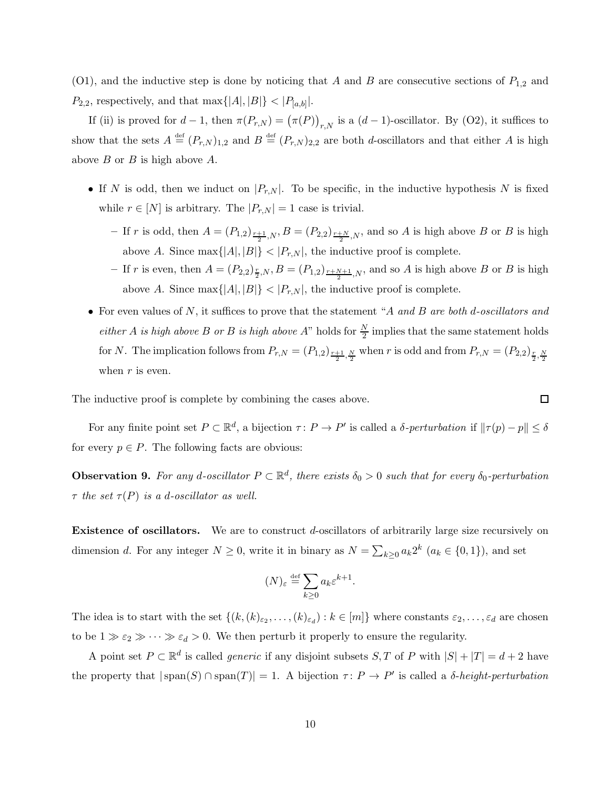[\(O1\),](#page-8-1) and the inductive step is done by noticing that A and B are consecutive sections of  $P_{1,2}$  and  $P_{2,2}$ , respectively, and that  $\max\{|A|, |B|\} < |P_{[a,b]}|.$ 

If [\(ii\)](#page-8-4) is proved for  $d-1$ , then  $\pi(P_{r,N}) = (\pi(P))_{r,N}$  is a  $(d-1)$ -oscillator. By [\(O2\),](#page-8-3) it suffices to show that the sets  $A \stackrel{\text{def}}{=} (P_{r,N})_{1,2}$  and  $B \stackrel{\text{def}}{=} (P_{r,N})_{2,2}$  are both d-oscillators and that either A is high above  $B$  or  $B$  is high above  $A$ .

- If N is odd, then we induct on  $|P_{r,N}|$ . To be specific, in the inductive hypothesis N is fixed while  $r \in [N]$  is arbitrary. The  $|P_{r,N}| = 1$  case is trivial.
	- If r is odd, then  $A = (P_{1,2})_{\frac{r+1}{2},N}$ ,  $B = (P_{2,2})_{\frac{r+N}{2},N}$ , and so A is high above B or B is high above A. Since  $\max\{|A|, |B|\}$  <  $|P_{r,N}|$ , the inductive proof is complete.
	- If r is even, then  $A = (P_{2,2})_{\frac{T}{2},N}$ ,  $B = (P_{1,2})_{\frac{T+N+1}{2},N}$ , and so A is high above B or B is high above A. Since  $\max\{|A|, |B|\}$  <  $|P_{r,N}|$ , the inductive proof is complete.
- For even values of  $N$ , it suffices to prove that the statement "A and B are both d-oscillators and either A is high above B or B is high above A" holds for  $\frac{N}{2}$  implies that the same statement holds for N. The implication follows from  $P_{r,N} = (P_{1,2})_{\frac{r+1}{2},\frac{N}{2}}$  when r is odd and from  $P_{r,N} = (P_{2,2})_{\frac{r}{2},\frac{N}{2}}$ when  $r$  is even.

The inductive proof is complete by combining the cases above.

<span id="page-9-0"></span>For any finite point set  $P \subset \mathbb{R}^d$ , a bijection  $\tau: P \to P'$  is called a  $\delta$ -perturbation if  $\|\tau(p) - p\| \le \delta$ for every  $p \in P$ . The following facts are obvious:

**Observation 9.** For any d-oscillator  $P \subset \mathbb{R}^d$ , there exists  $\delta_0 > 0$  such that for every  $\delta_0$ -perturbation  $\tau$  the set  $\tau(P)$  is a d-oscillator as well.

Existence of oscillators. We are to construct d-oscillators of arbitrarily large size recursively on dimension d. For any integer  $N \geq 0$ , write it in binary as  $N = \sum_{k \geq 0} a_k 2^k$   $(a_k \in \{0, 1\})$ , and set

$$
(N)_{\varepsilon} \stackrel{\text{def}}{=} \sum_{k \ge 0} a_k \varepsilon^{k+1}.
$$

The idea is to start with the set  $\{(k, (k)_{\varepsilon_2}, \ldots, (k)_{\varepsilon_d}) : k \in [m]\}$  where constants  $\varepsilon_2, \ldots, \varepsilon_d$  are chosen to be  $1 \gg \varepsilon_2 \gg \cdots \gg \varepsilon_d > 0$ . We then perturb it properly to ensure the regularity.

A point set  $P \subset \mathbb{R}^d$  is called *generic* if any disjoint subsets  $S, T$  of P with  $|S| + |T| = d + 2$  have the property that  $|\text{span}(S) \cap \text{span}(T)| = 1$ . A bijection  $\tau: P \to P'$  is called a  $\delta$ -height-perturbation

 $\Box$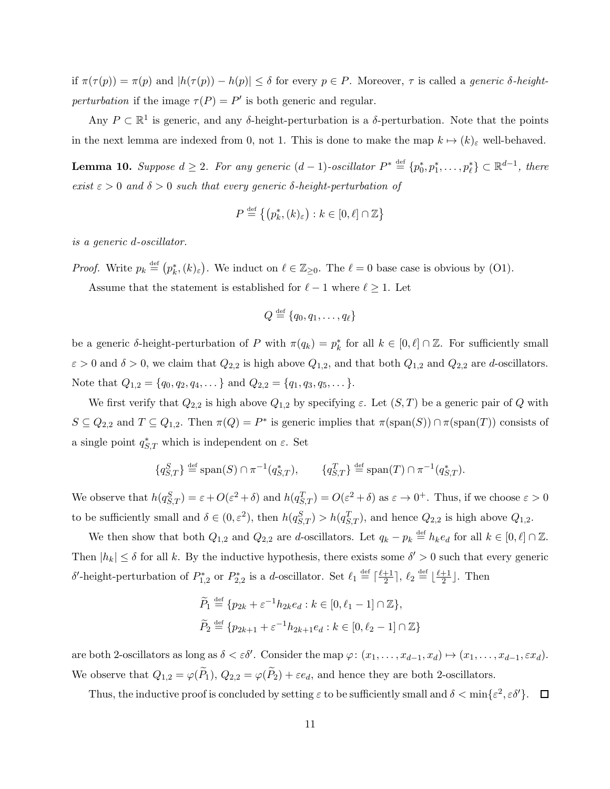if  $\pi(\tau(p)) = \pi(p)$  and  $|h(\tau(p)) - h(p)| \leq \delta$  for every  $p \in P$ . Moreover,  $\tau$  is called a *generic*  $\delta$ -heightperturbation if the image  $\tau(P) = P'$  is both generic and regular.

<span id="page-10-0"></span>Any  $P \subset \mathbb{R}^1$  is generic, and any δ-height-perturbation is a δ-perturbation. Note that the points in the next lemma are indexed from 0, not 1. This is done to make the map  $k \mapsto (k)_{\varepsilon}$  well-behaved.

**Lemma 10.** Suppose  $d \geq 2$ . For any generic  $(d-1)$ -oscillator  $P^* \stackrel{\text{def}}{=} \{p_0^*, p_1^*, \ldots, p_\ell^*\} \subset \mathbb{R}^{d-1}$ , there exist  $\varepsilon > 0$  and  $\delta > 0$  such that every generic  $\delta$ -height-perturbation of

$$
P \stackrel{\text{def}}{=} \left\{ \left( p_k^*, (k)_{\varepsilon} \right) : k \in [0, \ell] \cap \mathbb{Z} \right\}
$$

is a generic d-oscillator.

*Proof.* Write  $p_k \stackrel{\text{def}}{=} (p_k^*, (k)_{\varepsilon})$ . We induct on  $\ell \in \mathbb{Z}_{\geq 0}$ . The  $\ell = 0$  base case is obvious by [\(O1\).](#page-8-1)

Assume that the statement is established for  $\ell - 1$  where  $\ell \geq 1$ . Let

$$
Q \stackrel{\text{def}}{=} \{q_0, q_1, \dots, q_\ell\}
$$

be a generic δ-height-perturbation of P with  $\pi(q_k) = p_k^*$  for all  $k \in [0, \ell] \cap \mathbb{Z}$ . For sufficiently small  $\varepsilon > 0$  and  $\delta > 0$ , we claim that  $Q_{2,2}$  is high above  $Q_{1,2}$ , and that both  $Q_{1,2}$  and  $Q_{2,2}$  are d-oscillators. Note that  $Q_{1,2} = \{q_0, q_2, q_4, \dots\}$  and  $Q_{2,2} = \{q_1, q_3, q_5, \dots\}.$ 

We first verify that  $Q_{2,2}$  is high above  $Q_{1,2}$  by specifying  $\varepsilon$ . Let  $(S,T)$  be a generic pair of Q with  $S \subseteq Q_{2,2}$  and  $T \subseteq Q_{1,2}$ . Then  $\pi(Q) = P^*$  is generic implies that  $\pi(\text{span}(S)) \cap \pi(\text{span}(T))$  consists of a single point  $q_{S,T}^*$  which is independent on  $\varepsilon$ . Set

$$
\{q_{S,T}^S\} \stackrel{\text{def}}{=} \text{span}(S) \cap \pi^{-1}(q_{S,T}^*), \qquad \{q_{S,T}^T\} \stackrel{\text{def}}{=} \text{span}(T) \cap \pi^{-1}(q_{S,T}^*).
$$

We observe that  $h(q_{S,T}^S) = \varepsilon + O(\varepsilon^2 + \delta)$  and  $h(q_{S,T}^T) = O(\varepsilon^2 + \delta)$  as  $\varepsilon \to 0^+$ . Thus, if we choose  $\varepsilon > 0$ to be sufficiently small and  $\delta \in (0, \varepsilon^2)$ , then  $h(q_{S,T}^S) > h(q_{S,T}^T)$ , and hence  $Q_{2,2}$  is high above  $Q_{1,2}$ .

We then show that both  $Q_{1,2}$  and  $Q_{2,2}$  are d-oscillators. Let  $q_k - p_k \stackrel{\text{def}}{=} h_k e_d$  for all  $k \in [0, \ell] \cap \mathbb{Z}$ . Then  $|h_k| \leq \delta$  for all k. By the inductive hypothesis, there exists some  $\delta' > 0$  such that every generic δ'-height-perturbation of  $P_{1,2}^*$  or  $P_{2,2}^*$  is a d-oscillator. Set  $\ell_1 \stackrel{\text{def}}{=} \lceil \frac{\ell+1}{2} \rceil$  $\frac{+1}{2}$ ],  $\ell_2 \stackrel{\text{def}}{=} \lfloor \frac{\ell+1}{2} \rfloor$  $\frac{+1}{2}$ . Then

$$
\widetilde{P}_1 \stackrel{\text{def}}{=} \{ p_{2k} + \varepsilon^{-1} h_{2k} e_d : k \in [0, \ell_1 - 1] \cap \mathbb{Z} \},
$$
  

$$
\widetilde{P}_2 \stackrel{\text{def}}{=} \{ p_{2k+1} + \varepsilon^{-1} h_{2k+1} e_d : k \in [0, \ell_2 - 1] \cap \mathbb{Z} \}
$$

are both 2-oscillators as long as  $\delta < \varepsilon \delta'$ . Consider the map  $\varphi: (x_1, \ldots, x_{d-1}, x_d) \mapsto (x_1, \ldots, x_{d-1}, \varepsilon x_d)$ . We observe that  $Q_{1,2} = \varphi(\tilde{P}_1), Q_{2,2} = \varphi(\tilde{P}_2) + \varepsilon e_d$ , and hence they are both 2-oscillators.

Thus, the inductive proof is concluded by setting  $\varepsilon$  to be sufficiently small and  $\delta < \min\{\varepsilon^2, \varepsilon \delta'\}.$  $\Box$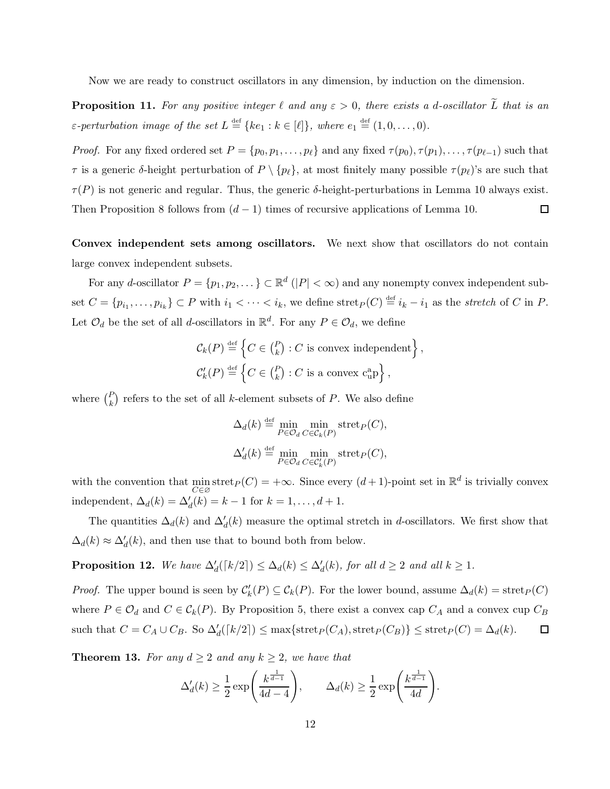<span id="page-11-1"></span>Now we are ready to construct oscillators in any dimension, by induction on the dimension.

**Proposition 11.** For any positive integer  $\ell$  and any  $\varepsilon > 0$ , there exists a d-oscillator  $\tilde{L}$  that is an  $\varepsilon$ -perturbation image of the set  $L \stackrel{\text{def}}{=} \{ke_1 : k \in [\ell]\},\$  where  $e_1 \stackrel{\text{def}}{=} (1,0,\ldots,0).$ 

*Proof.* For any fixed ordered set  $P = \{p_0, p_1, \ldots, p_\ell\}$  and any fixed  $\tau(p_0), \tau(p_1), \ldots, \tau(p_{\ell-1})$  such that  $\tau$  is a generic δ-height perturbation of  $P \setminus \{p_\ell\}$ , at most finitely many possible  $\tau(p_\ell)$ 's are such that  $\tau(P)$  is not generic and regular. Thus, the generic δ-height-perturbations in [Lemma 10](#page-10-0) always exist. Then [Proposition 8](#page-8-5) follows from  $(d-1)$  times of recursive applications of [Lemma 10.](#page-10-0)  $\Box$ 

Convex independent sets among oscillators. We next show that oscillators do not contain large convex independent subsets.

For any d-oscillator  $P = \{p_1, p_2, \dots\} \subset \mathbb{R}^d$  ( $|P| < \infty$ ) and any nonempty convex independent subset  $C = \{p_{i_1}, \ldots, p_{i_k}\} \subset P$  with  $i_1 < \cdots < i_k$ , we define stret $_P(C) \stackrel{\text{def}}{=} i_k - i_1$  as the stretch of C in P. Let  $\mathcal{O}_d$  be the set of all *d*-oscillators in  $\mathbb{R}^d$ . For any  $P \in \mathcal{O}_d$ , we define

$$
\mathcal{C}_k(P) \stackrel{\text{def}}{=} \left\{ C \in {P \choose k} : C \text{ is convex independent} \right\},\
$$
  

$$
\mathcal{C}'_k(P) \stackrel{\text{def}}{=} \left\{ C \in {P \choose k} : C \text{ is a convex } c^{\text{a}}_{\text{u}}p \right\},\
$$

where  $\binom{P}{k}$  refers to the set of all k-element subsets of P. We also define

$$
\Delta_d(k) \stackrel{\text{def}}{=} \min_{P \in \mathcal{O}_d} \min_{C \in \mathcal{C}_k(P)} \text{stret}_P(C),
$$
  

$$
\Delta'_d(k) \stackrel{\text{def}}{=} \min_{P \in \mathcal{O}_d} \min_{C \in \mathcal{C}'_k(P)} \text{stret}_P(C),
$$

with the convention that  $\min_{C \in \varnothing} \text{stret}_{P}(C) = +\infty$ . Since every  $(d+1)$ -point set in  $\mathbb{R}^d$  is trivially convex independent,  $\Delta_d(k) = \Delta'_d(k) = k - 1$  for  $k = 1, ..., d + 1$ .

<span id="page-11-0"></span>The quantities  $\Delta_d(k)$  and  $\Delta'_d(k)$  measure the optimal stretch in d-oscillators. We first show that  $\Delta_d(k) \approx \Delta'_d(k)$ , and then use that to bound both from below.

**Proposition 12.** We have  $\Delta'_d([k/2]) \leq \Delta_d(k) \leq \Delta'_d(k)$ , for all  $d \geq 2$  and all  $k \geq 1$ .

*Proof.* The upper bound is seen by  $\mathcal{C}'_k(P) \subseteq \mathcal{C}_k(P)$ . For the lower bound, assume  $\Delta_d(k) = \text{stret}_P(C)$ where  $P \in \mathcal{O}_d$  and  $C \in \mathcal{C}_k(P)$ . By [Proposition 5,](#page-6-2) there exist a convex cap  $C_A$  and a convex cup  $C_B$ such that  $C = C_A \cup C_B$ . So  $\Delta'_d([k/2]) \le \max\{\text{stret}_P(C_A), \text{stret}_P(C_B)\} \le \text{stret}_P(C) = \Delta_d(k)$ .  $\Box$ 

<span id="page-11-2"></span>**Theorem 13.** For any  $d \geq 2$  and any  $k \geq 2$ , we have that

$$
\Delta'_d(k) \ge \frac{1}{2} \exp\left(\frac{k^{\frac{1}{d-1}}}{4d-4}\right), \qquad \Delta_d(k) \ge \frac{1}{2} \exp\left(\frac{k^{\frac{1}{d-1}}}{4d}\right).
$$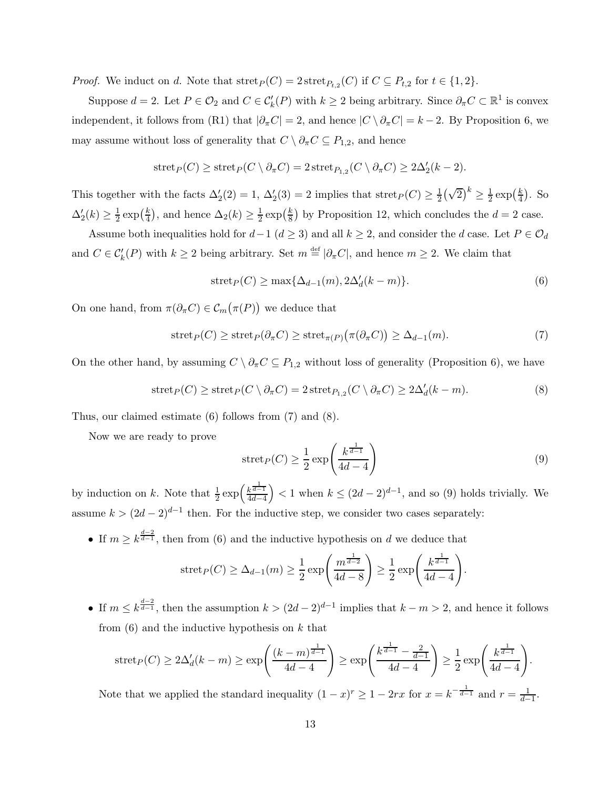*Proof.* We induct on d. Note that  $\text{stret}_P(C) = 2 \text{stret}_{P_{t,2}}(C)$  if  $C \subseteq P_{t,2}$  for  $t \in \{1,2\}$ .

Suppose  $d = 2$ . Let  $P \in \mathcal{O}_2$  and  $C \in \mathcal{C}'_k(P)$  with  $k \geq 2$  being arbitrary. Since  $\partial_{\pi} C \subset \mathbb{R}^1$  is convex independent, it follows from [\(R1\)](#page-5-2) that  $|\partial_{\pi}C| = 2$ , and hence  $|C \setminus \partial_{\pi}C| = k - 2$ . By [Proposition 6,](#page-6-0) we may assume without loss of generality that  $C \setminus \partial_{\pi}C \subseteq P_{1,2}$ , and hence

$$
stret_P(C) \geq stret_P(C \setminus \partial_{\pi}C) = 2stret_{P_{1,2}}(C \setminus \partial_{\pi}C) \geq 2\Delta'_2(k-2).
$$

This together with the facts  $\Delta'_{2}(2) = 1, \Delta'_{2}(3) = 2$  implies that  $\text{stret}_{P}(C) \ge \frac{1}{2}$  $\frac{1}{2}(\sqrt{2})^k \geq \frac{1}{2}$  $rac{1}{2}$  exp $\left(\frac{k}{4}\right)$  $(\frac{k}{4})$ . So  $\Delta'_2(k) \geq \frac{1}{2}$  $rac{1}{2}$  exp $(\frac{k}{4})$  $(\frac{k}{4})$ , and hence  $\Delta_2(k) \geq \frac{1}{2}$  $rac{1}{2}$  exp $(\frac{k}{8})$  $\frac{k}{8}$ ) by [Proposition 12,](#page-11-0) which concludes the  $d = 2$  case.

Assume both inequalities hold for  $d-1$  ( $d \geq 3$ ) and all  $k \geq 2$ , and consider the d case. Let  $P \in \mathcal{O}_d$ and  $C \in \mathcal{C}'_k(P)$  with  $k \geq 2$  being arbitrary. Set  $m \stackrel{\text{def}}{=} |\partial_{\pi}C|$ , and hence  $m \geq 2$ . We claim that

<span id="page-12-1"></span><span id="page-12-0"></span>
$$
stretP(C) \ge \max{\Delta_{d-1}(m), 2\Delta_d'(k-m)}.
$$
\n(6)

On one hand, from  $\pi(\partial_{\pi}C) \in \mathcal{C}_m(\pi(P))$  we deduce that

$$
\operatorname{stret}_P(C) \ge \operatorname{stret}_P(\partial_\pi C) \ge \operatorname{stret}_{\pi(P)}(\pi(\partial_\pi C)) \ge \Delta_{d-1}(m). \tag{7}
$$

On the other hand, by assuming  $C \setminus \partial_{\pi}C \subseteq P_{1,2}$  without loss of generality [\(Proposition 6\)](#page-6-0), we have

$$
stretP(C) \ge stretP(C \setminus \partial_{\pi}C) = 2stretP1,2(C \setminus \partial_{\pi}C) \ge 2\Delta'_{d}(k-m).
$$
\n(8)

Thus, our claimed estimate [\(6\)](#page-12-0) follows from [\(7\)](#page-12-1) and [\(8\)](#page-12-2).

Now we are ready to prove

<span id="page-12-3"></span><span id="page-12-2"></span>
$$
stretP(C) \ge \frac{1}{2} \exp\left(\frac{k^{\frac{1}{d-1}}}{4d-4}\right)
$$
\n(9)

by induction on k. Note that  $\frac{1}{2} \exp\left(\frac{k^{\frac{1}{d-1}}}{4d-4}\right)$ 4d−4  $\Big)$  < 1 when  $k \leq (2d-2)^{d-1}$ , and so [\(9\)](#page-12-3) holds trivially. We assume  $k > (2d - 2)^{d-1}$  then. For the inductive step, we consider two cases separately:

• If  $m \geq k^{\frac{d-2}{d-1}}$ , then from [\(6\)](#page-12-0) and the inductive hypothesis on d we deduce that

$$
s t r t P(C) \geq \Delta_{d-1}(m) \geq \frac{1}{2} \exp\left(\frac{m^{\frac{1}{d-2}}}{4d-8}\right) \geq \frac{1}{2} \exp\left(\frac{k^{\frac{1}{d-1}}}{4d-4}\right).
$$

• If  $m \leq k^{\frac{d-2}{d-1}}$ , then the assumption  $k > (2d-2)^{d-1}$  implies that  $k-m > 2$ , and hence it follows from  $(6)$  and the inductive hypothesis on k that

$$
{\rm stret}_P(C) \geq 2\Delta'_d(k-m) \geq \exp\left(\frac{(k-m)^{\frac{1}{d-1}}}{4d-4}\right) \geq \exp\left(\frac{k^{\frac{1}{d-1}}-\frac{2}{d-1}}{4d-4}\right) \geq \frac{1}{2}\exp\left(\frac{k^{\frac{1}{d-1}}}{4d-4}\right).
$$

Note that we applied the standard inequality  $(1-x)^r \geq 1 - 2rx$  for  $x = k^{-\frac{1}{d-1}}$  and  $r = \frac{1}{d-1}$  $\frac{1}{d-1}$ .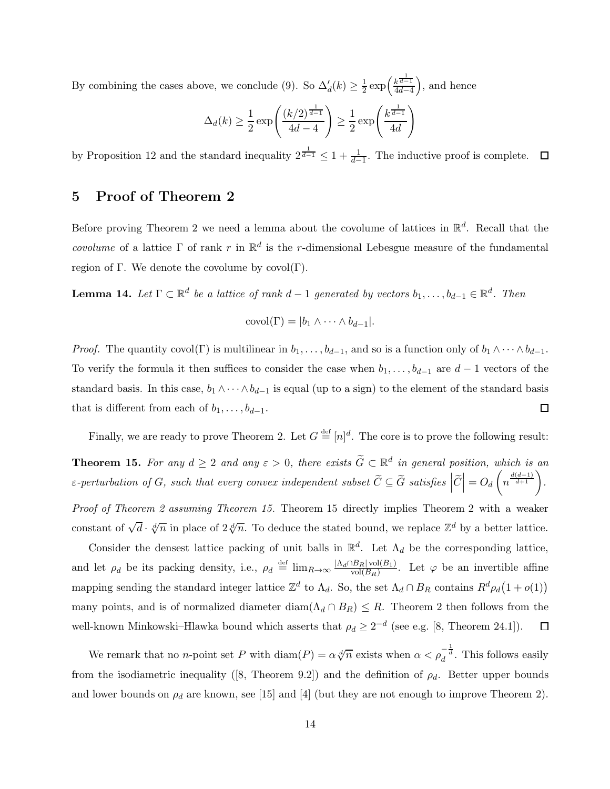By combining the cases above, we conclude [\(9\)](#page-12-3). So  $\Delta'_d(k) \geq \frac{1}{2}$  $rac{1}{2}$  exp $\left(\frac{k^{\frac{1}{d-1}}}{4d-4}\right)$  $^{4d-4}$ , and hence

$$
\Delta_d(k) \ge \frac{1}{2} \exp\left(\frac{(k/2)^{\frac{1}{d-1}}}{4d-4}\right) \ge \frac{1}{2} \exp\left(\frac{k^{\frac{1}{d-1}}}{4d}\right)
$$

<span id="page-13-0"></span>by [Proposition 12](#page-11-0) and the standard inequality  $2^{\frac{1}{d-1}} \leq 1 + \frac{1}{d-1}$ . The inductive proof is complete.

### 5 Proof of [Theorem 2](#page-1-2)

Before proving [Theorem 2](#page-1-2) we need a lemma about the covolume of lattices in  $\mathbb{R}^d$ . Recall that the covolume of a lattice  $\Gamma$  of rank r in  $\mathbb{R}^d$  is the r-dimensional Lebesgue measure of the fundamental region of Γ. We denote the covolume by covol(Γ).

<span id="page-13-2"></span>**Lemma 14.** Let  $\Gamma \subset \mathbb{R}^d$  be a lattice of rank  $d-1$  generated by vectors  $b_1, \ldots, b_{d-1} \in \mathbb{R}^d$ . Then

$$
covol(\Gamma) = |b_1 \wedge \cdots \wedge b_{d-1}|.
$$

*Proof.* The quantity covol(Γ) is multilinear in  $b_1, \ldots, b_{d-1}$ , and so is a function only of  $b_1 \wedge \cdots \wedge b_{d-1}$ . To verify the formula it then suffices to consider the case when  $b_1, \ldots, b_{d-1}$  are  $d-1$  vectors of the standard basis. In this case,  $b_1 \wedge \cdots \wedge b_{d-1}$  is equal (up to a sign) to the element of the standard basis that is different from each of  $b_1, \ldots, b_{d-1}$ . 口

<span id="page-13-1"></span>Finally, we are ready to prove [Theorem 2.](#page-1-2) Let  $G \stackrel{\text{def}}{=} [n]^d$ . The core is to prove the following result:

**Theorem 15.** For any  $d \geq 2$  and any  $\varepsilon > 0$ , there exists  $\widetilde{G} \subset \mathbb{R}^d$  in general position, which is an  $\varepsilon\text{-}perturbation\ of\ G,\ such\ that\ every\ convex\ independent\ subset\ \widetilde{C}\subseteq \widetilde{G}\ satisfies\ \left|\widetilde{C}\right|=O_d$  $\sqrt{ }$  $n^{\frac{d(d-1)}{d+1}}$ .

Proof of [Theorem 2](#page-1-2) assuming [Theorem 15.](#page-13-1) [Theorem 15](#page-13-1) directly implies Theorem 2 with a weaker constant of  $\sqrt{d} \cdot \sqrt[d]{n}$  in place of  $2\sqrt[d]{n}$ . To deduce the stated bound, we replace  $\mathbb{Z}^d$  by a better lattice.

Consider the densest lattice packing of unit balls in  $\mathbb{R}^d$ . Let  $\Lambda_d$  be the corresponding lattice, and let  $\rho_d$  be its packing density, i.e.,  $\rho_d \stackrel{\text{def}}{=} \lim_{R \to \infty} \frac{|\Lambda_d \cap B_R| \text{vol}(B_1)}{\text{vol}(B_R)}$  $\frac{\log_{1} \text{vol}(B_1)}{\text{vol}(B_R)}$ . Let  $\varphi$  be an invertible affine mapping sending the standard integer lattice  $\mathbb{Z}^d$  to  $\Lambda_d$ . So, the set  $\Lambda_d \cap B_R$  contains  $R^d \rho_d(1 + o(1))$ many points, and is of normalized diameter diam( $\Lambda_d \cap B_R$ )  $\leq R$ . [Theorem 2](#page-1-2) then follows from the well-known Minkowski–Hlawka bound which asserts that  $\rho_d \geq 2^{-d}$  (see e.g. [\[8,](#page-19-8) Theorem 24.1]).  $\Box$ 

We remark that no *n*-point set P with  $\text{diam}(P) = \alpha \sqrt[d]{n}$  exists when  $\alpha < \rho_d^{-\frac{1}{d}}$ . This follows easily fromthe isodiametric inequality ([\[8,](#page-19-8) Theorem 9.2]) and the definition of  $\rho_d$ . Better upper bounds and lower bounds on  $\rho_d$  are known, see [\[15\]](#page-19-9) and [\[4\]](#page-19-10) (but they are not enough to improve [Theorem 2\)](#page-1-2).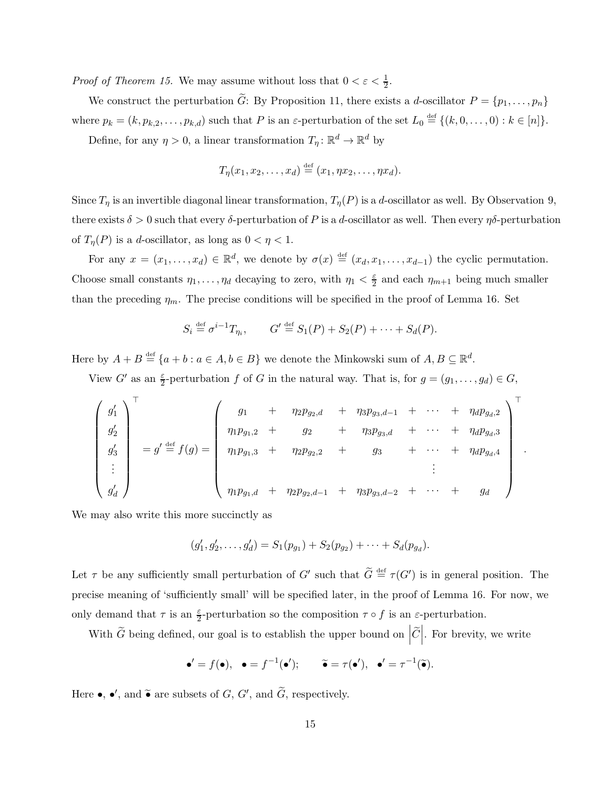*Proof of [Theorem 15.](#page-13-1)* We may assume without loss that  $0 < \varepsilon < \frac{1}{2}$ .

We construct the perturbation  $\tilde{G}$ : By [Proposition 11,](#page-11-1) there exists a d-oscillator  $P = \{p_1, \ldots, p_n\}$ where  $p_k = (k, p_{k,2}, \ldots, p_{k,d})$  such that P is an  $\varepsilon$ -perturbation of the set  $L_0 \stackrel{\text{def}}{=} \{(k, 0, \ldots, 0) : k \in [n]\}.$ 

Define, for any  $\eta > 0$ , a linear transformation  $T_{\eta} \colon \mathbb{R}^d \to \mathbb{R}^d$  by

$$
T_{\eta}(x_1, x_2, \ldots, x_d) \stackrel{\text{def}}{=} (x_1, \eta x_2, \ldots, \eta x_d).
$$

Since  $T_\eta$  is an invertible diagonal linear transformation,  $T_\eta(P)$  is a d-oscillator as well. By [Observation 9,](#page-9-0) there exists  $\delta > 0$  such that every  $\delta$ -perturbation of P is a d-oscillator as well. Then every  $\eta\delta$ -perturbation of  $T_{\eta}(P)$  is a d-oscillator, as long as  $0 < \eta < 1$ .

For any  $x = (x_1, \ldots, x_d) \in \mathbb{R}^d$ , we denote by  $\sigma(x) \stackrel{\text{def}}{=} (x_d, x_1, \ldots, x_{d-1})$  the cyclic permutation. Choose small constants  $\eta_1, \ldots, \eta_d$  decaying to zero, with  $\eta_1 < \frac{\varepsilon}{2}$  $\frac{\varepsilon}{2}$  and each  $\eta_{m+1}$  being much smaller than the preceding  $\eta_m$ . The precise conditions will be specified in the proof of [Lemma 16.](#page-15-0) Set

$$
S_i \stackrel{\text{def}}{=} \sigma^{i-1} T_{\eta_i}, \qquad G' \stackrel{\text{def}}{=} S_1(P) + S_2(P) + \cdots + S_d(P).
$$

Here by  $A + B \stackrel{\text{def}}{=} \{a + b : a \in A, b \in B\}$  we denote the Minkowski sum of  $A, B \subseteq \mathbb{R}^d$ .

View G' as an  $\frac{\varepsilon}{2}$ -perturbation f of G in the natural way. That is, for  $g = (g_1, \ldots, g_d) \in G$ ,

$$
\begin{pmatrix}\ng'_1 \\
g'_2 \\
g'_3 \\
\vdots \\
g'_d\n\end{pmatrix}^\top = g' \stackrel{\text{def}}{=} f(g) = \begin{pmatrix}\ng_1 + \eta_2 p_{g_2,d} + \eta_3 p_{g_3,d-1} + \cdots + \eta_d p_{g_d,2} \\
\eta_1 p_{g_1,2} + \eta_2 p_{g_2,2} + \eta_3 p_{g_3,d} + \cdots + \eta_d p_{g_d,3} \\
\eta_1 p_{g_1,3} + \eta_2 p_{g_2,2} + \eta_3 p_{g_3,d-2} + \cdots + \eta_d p_{g_d,4} \\
\vdots \\
\eta_1 p_{g_1,d} + \eta_2 p_{g_2,d-1} + \eta_3 p_{g_3,d-2} + \cdots + g_d\n\end{pmatrix}^\top
$$

We may also write this more succinctly as

$$
(g'_1, g'_2, \dots, g'_d) = S_1(p_{g_1}) + S_2(p_{g_2}) + \dots + S_d(p_{g_d}).
$$

Let  $\tau$  be any sufficiently small perturbation of  $G'$  such that  $\widetilde{G} \stackrel{\text{def}}{=} \tau(G')$  is in general position. The precise meaning of 'sufficiently small' will be specified later, in the proof of [Lemma 16.](#page-15-0) For now, we only demand that  $\tau$  is an  $\frac{\varepsilon}{2}$ -perturbation so the composition  $\tau \circ f$  is an  $\varepsilon$ -perturbation.

With  $\widetilde{G}$  being defined, our goal is to establish the upper bound on  $|\widetilde{C}|$ . For brevity, we write

$$
\bullet' = f(\bullet), \quad \bullet = f^{-1}(\bullet'); \qquad \widetilde{\bullet} = \tau(\bullet'), \quad \bullet' = \tau^{-1}(\widetilde{\bullet}).
$$

Here  $\bullet$ ,  $\bullet'$ , and  $\widetilde{\bullet}$  are subsets of  $G$ ,  $G'$ , and  $\widetilde{G}$ , respectively.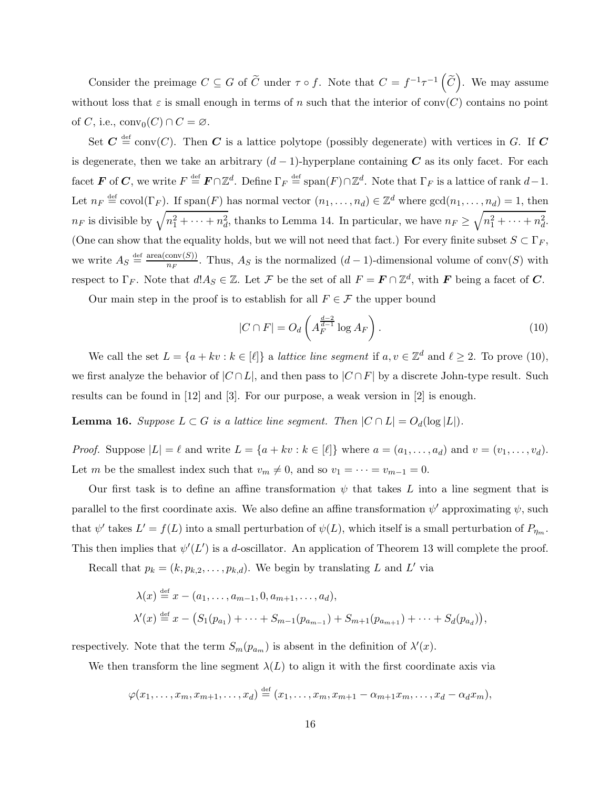Consider the preimage  $C \subseteq G$  of  $\widetilde{C}$  under  $\tau \circ f$ . Note that  $C = f^{-1}\tau^{-1}(\widetilde{C})$ . We may assume without loss that  $\varepsilon$  is small enough in terms of n such that the interior of conv(C) contains no point of C, i.e., conv<sub>0</sub> $(C) \cap C = \emptyset$ .

Set  $\boldsymbol{C} \stackrel{\text{def}}{=} \text{conv}(C)$ . Then  $\boldsymbol{C}$  is a lattice polytope (possibly degenerate) with vertices in G. If  $\boldsymbol{C}$ is degenerate, then we take an arbitrary  $(d-1)$ -hyperplane containing C as its only facet. For each facet **F** of **C**, we write  $F \stackrel{\text{def}}{=} \mathbf{F} \cap \mathbb{Z}^d$ . Define  $\Gamma_F \stackrel{\text{def}}{=} \text{span}(F) \cap \mathbb{Z}^d$ . Note that  $\Gamma_F$  is a lattice of rank  $d-1$ . Let  $n_F \stackrel{\text{def}}{=} \text{covol}(\Gamma_F)$ . If span $(F)$  has normal vector  $(n_1, \ldots, n_d) \in \mathbb{Z}^d$  where  $\text{gcd}(n_1, \ldots, n_d) = 1$ , then  $n_F$  is divisible by  $\sqrt{n_1^2 + \cdots + n_d^2}$ , thanks to [Lemma 14.](#page-13-2) In particular, we have  $n_F \ge \sqrt{n_1^2 + \cdots + n_d^2}$ . (One can show that the equality holds, but we will not need that fact.) For every finite subset  $S \subset \Gamma_F$ , we write  $A_S \stackrel{\text{def}}{=} \frac{\text{area}(\text{conv}(S))}{n_F}$  $\frac{\text{conv}(S)}{n_F}$ . Thus, A<sub>S</sub> is the normalized  $(d-1)$ -dimensional volume of conv $(S)$  with respect to  $\Gamma_F$ . Note that  $d!A_S \in \mathbb{Z}$ . Let F be the set of all  $F = F \cap \mathbb{Z}^d$ , with F being a facet of C.

Our main step in the proof is to establish for all  $F \in \mathcal{F}$  the upper bound

<span id="page-15-1"></span>
$$
|C \cap F| = O_d \left( A_F^{\frac{d-2}{d-1}} \log A_F \right). \tag{10}
$$

We call the set  $L = \{a + kv : k \in [\ell]\}\$ a *lattice line segment* if  $a, v \in \mathbb{Z}^d$  and  $\ell \geq 2$ . To prove [\(10\)](#page-15-1), we first analyze the behavior of  $|C \cap L|$ , and then pass to  $|C \cap F|$  by a discrete John-type result. Such results can be found in [\[12\]](#page-19-11) and [\[3\]](#page-19-12). For our purpose, a weak version in [\[2\]](#page-18-1) is enough.

<span id="page-15-0"></span>**Lemma 16.** Suppose  $L \subset G$  is a lattice line segment. Then  $|C \cap L| = O_d(\log |L|)$ .

*Proof.* Suppose  $|L| = \ell$  and write  $L = \{a + kv : k \in [\ell]\}$  where  $a = (a_1, \ldots, a_d)$  and  $v = (v_1, \ldots, v_d)$ . Let m be the smallest index such that  $v_m \neq 0$ , and so  $v_1 = \cdots = v_{m-1} = 0$ .

Our first task is to define an affine transformation  $\psi$  that takes L into a line segment that is parallel to the first coordinate axis. We also define an affine transformation  $\psi'$  approximating  $\psi$ , such that  $\psi'$  takes  $L' = f(L)$  into a small perturbation of  $\psi(L)$ , which itself is a small perturbation of  $P_{\eta_m}$ . This then implies that  $\psi'(L')$  is a d-oscillator. An application of [Theorem 13](#page-11-2) will complete the proof.

Recall that  $p_k = (k, p_{k,2}, \ldots, p_{k,d})$ . We begin by translating L and L' via

$$
\lambda(x) \stackrel{\text{def}}{=} x - (a_1, \dots, a_{m-1}, 0, a_{m+1}, \dots, a_d),
$$
  

$$
\lambda'(x) \stackrel{\text{def}}{=} x - (S_1(p_{a_1}) + \dots + S_{m-1}(p_{a_{m-1}}) + S_{m+1}(p_{a_{m+1}}) + \dots + S_d(p_{a_d})),
$$

respectively. Note that the term  $S_m(p_{a_m})$  is absent in the definition of  $\lambda'(x)$ .

We then transform the line segment  $\lambda(L)$  to align it with the first coordinate axis via

$$
\varphi(x_1,\ldots,x_m,x_{m+1},\ldots,x_d)\stackrel{\text{def}}{=} (x_1,\ldots,x_m,x_{m+1}-\alpha_{m+1}x_m,\ldots,x_d-\alpha_dx_m),
$$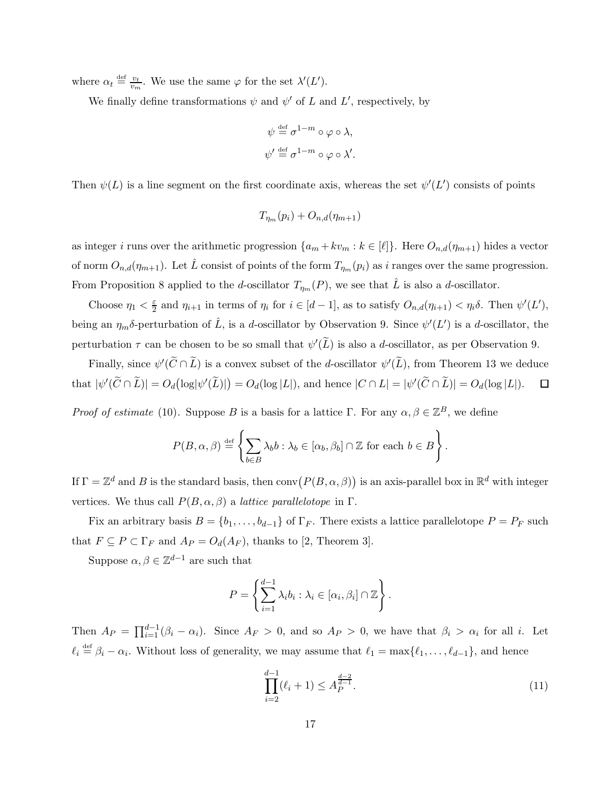where  $\alpha_t \stackrel{\text{def}}{=} \frac{v_t}{v_x}$  $\frac{v_t}{v_m}$ . We use the same  $\varphi$  for the set  $\lambda'(L')$ .

We finally define transformations  $\psi$  and  $\psi'$  of L and L', respectively, by

$$
\psi \stackrel{\text{def}}{=} \sigma^{1-m} \circ \varphi \circ \lambda,
$$
  

$$
\psi' \stackrel{\text{def}}{=} \sigma^{1-m} \circ \varphi \circ \lambda'.
$$

Then  $\psi(L)$  is a line segment on the first coordinate axis, whereas the set  $\psi'(L')$  consists of points

$$
T_{\eta_m}(p_i) + O_{n,d}(\eta_{m+1})
$$

as integer i runs over the arithmetic progression  $\{a_m + kv_m : k \in [\ell]\}\$ . Here  $O_{n,d}(\eta_{m+1})$  hides a vector of norm  $O_{n,d}(\eta_{m+1})$ . Let  $\hat{L}$  consist of points of the form  $T_{\eta_m}(p_i)$  as i ranges over the same progression. From [Proposition 8](#page-8-5) applied to the d-oscillator  $T_{\eta_m}(P)$ , we see that  $\hat{L}$  is also a d-oscillator.

Choose  $\eta_1 < \frac{\varepsilon}{2}$  $\frac{\varepsilon}{2}$  and  $\eta_{i+1}$  in terms of  $\eta_i$  for  $i \in [d-1]$ , as to satisfy  $O_{n,d}(\eta_{i+1}) < \eta_i \delta$ . Then  $\psi'(L')$ , being an  $\eta_m \delta$ -perturbation of  $\hat{L}$ , is a d-oscillator by [Observation 9.](#page-9-0) Since  $\psi'(L')$  is a d-oscillator, the perturbation  $\tau$  can be chosen to be so small that  $\psi'(\tilde{L})$  is also a *d*-oscillator, as per [Observation 9.](#page-9-0)

Finally, since  $\psi'(\tilde{C}\cap \tilde{L})$  is a convex subset of the *d*-oscillator  $\psi'(\tilde{L})$ , from [Theorem 13](#page-11-2) we deduce that  $|\psi'(\widetilde{C} \cap \widetilde{L})| = O_d(\log |\psi'(\widetilde{L})|) = O_d(\log |L|)$ , and hence  $|C \cap L| = |\psi'(\widetilde{C} \cap \widetilde{L})| = O_d(\log |L|)$ .  $\Box$ 

*Proof of estimate* [\(10\)](#page-15-1). Suppose B is a basis for a lattice  $\Gamma$ . For any  $\alpha, \beta \in \mathbb{Z}^B$ , we define

$$
P(B, \alpha, \beta) \stackrel{\text{def}}{=} \left\{ \sum_{b \in B} \lambda_b b : \lambda_b \in [\alpha_b, \beta_b] \cap \mathbb{Z} \text{ for each } b \in B \right\}.
$$

If  $\Gamma = \mathbb{Z}^d$  and B is the standard basis, then conv $(P(B, \alpha, \beta))$  is an axis-parallel box in  $\mathbb{R}^d$  with integer vertices. We thus call  $P(B, \alpha, \beta)$  a *lattice parallelotope* in  $\Gamma$ .

Fix an arbitrary basis  $B = \{b_1, \ldots, b_{d-1}\}$  of  $\Gamma_F$ . There exists a lattice parallelotope  $P = P_F$  such that  $F \subseteq P \subset \Gamma_F$  and  $A_P = O_d(A_F)$ , thanks to [\[2,](#page-18-1) Theorem 3].

Suppose  $\alpha, \beta \in \mathbb{Z}^{d-1}$  are such that

$$
P = \left\{ \sum_{i=1}^{d-1} \lambda_i b_i : \lambda_i \in [\alpha_i, \beta_i] \cap \mathbb{Z} \right\}.
$$

Then  $A_P = \prod_{i=1}^{d-1} (\beta_i - \alpha_i)$ . Since  $A_F > 0$ , and so  $A_P > 0$ , we have that  $\beta_i > \alpha_i$  for all i. Let  $\ell_i \stackrel{\text{def}}{=} \beta_i - \alpha_i$ . Without loss of generality, we may assume that  $\ell_1 = \max{\ell_1, \ldots, \ell_{d-1}}$ , and hence

<span id="page-16-0"></span>
$$
\prod_{i=2}^{d-1} (\ell_i + 1) \le A_p^{\frac{d-2}{d-1}}.
$$
\n(11)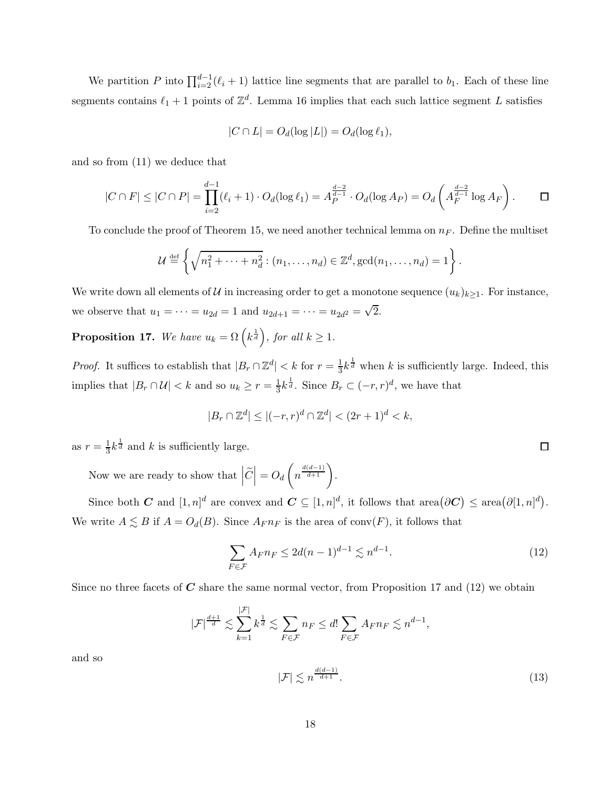We partition P into  $\prod_{i=2}^{d-1}(\ell_i+1)$  lattice line segments that are parallel to  $b_1$ . Each of these line segments contains  $\ell_1 + 1$  points of  $\mathbb{Z}^d$ . [Lemma 16](#page-15-0) implies that each such lattice segment L satisfies

$$
|C \cap L| = O_d(\log |L|) = O_d(\log \ell_1),
$$

and so from [\(11\)](#page-16-0) we deduce that

$$
|C \cap F| \le |C \cap P| = \prod_{i=2}^{d-1} (\ell_i + 1) \cdot O_d(\log \ell_1) = A_P^{\frac{d-2}{d-1}} \cdot O_d(\log A_P) = O_d\left(A_E^{\frac{d-2}{d-1}} \log A_F\right).
$$

To conclude the proof of [Theorem 15,](#page-13-1) we need another technical lemma on  $n_F$ . Define the multiset

$$
\mathcal{U} \stackrel{\text{def}}{=} \left\{ \sqrt{n_1^2 + \dots + n_d^2} : (n_1, \dots, n_d) \in \mathbb{Z}^d, \gcd(n_1, \dots, n_d) = 1 \right\}.
$$

<span id="page-17-0"></span>We write down all elements of U in increasing order to get a monotone sequence  $(u_k)_{k\geq 1}$ . For instance, we observe that  $u_1 = \cdots = u_{2d} = 1$  and  $u_{2d+1} = \cdots = u_{2d^2} = \sqrt{2}$ .

**Proposition 17.** We have  $u_k = \Omega\left(k^{\frac{1}{d}}\right)$ , for all  $k \geq 1$ .

*Proof.* It suffices to establish that  $|B_r \cap \mathbb{Z}^d| < k$  for  $r = \frac{1}{3}$  $\frac{1}{3}k^{\frac{1}{d}}$  when k is sufficiently large. Indeed, this implies that  $|B_r \cap \mathcal{U}| < k$  and so  $u_k \ge r = \frac{1}{3}$  $\frac{1}{3}k^{\frac{1}{d}}$ . Since  $B_r \subset (-r,r)^d$ , we have that

$$
|B_r \cap \mathbb{Z}^d| \le |(-r,r)^d \cap \mathbb{Z}^d| < (2r+1)^d < k,
$$

as  $r=\frac{1}{3}$  $\frac{1}{3}k^{\frac{1}{d}}$  and k is sufficiently large.

Now we are ready to show that  $\left|\widetilde{C}\right| = O_d$  $\sqrt{ }$  $n^{\frac{d(d-1)}{d+1}}$ .

Since both C and  $[1,n]^d$  are convex and  $C \subseteq [1,n]^d$ , it follows that  $area(\partial C) \leq area(\partial [1,n]^d)$ . We write  $A \lesssim B$  if  $A = O_d(B)$ . Since  $A_F n_F$  is the area of conv $(F)$ , it follows that

$$
\sum_{F \in \mathcal{F}} A_F n_F \le 2d(n-1)^{d-1} \lesssim n^{d-1}.
$$
\n(12)

<span id="page-17-1"></span> $\Box$ 

Since no three facets of  $\boldsymbol{C}$  share the same normal vector, from [Proposition 17](#page-17-0) and [\(12\)](#page-17-1) we obtain

$$
|\mathcal{F}|^{\frac{d+1}{d}} \lesssim \sum_{k=1}^{|\mathcal{F}|} k^{\frac{1}{d}} \lesssim \sum_{F \in \mathcal{F}} n_F \le d! \sum_{F \in \mathcal{F}} A_F n_F \lesssim n^{d-1},
$$

<span id="page-17-2"></span>and so

$$
|\mathcal{F}| \lesssim n^{\frac{d(d-1)}{d+1}}.\tag{13}
$$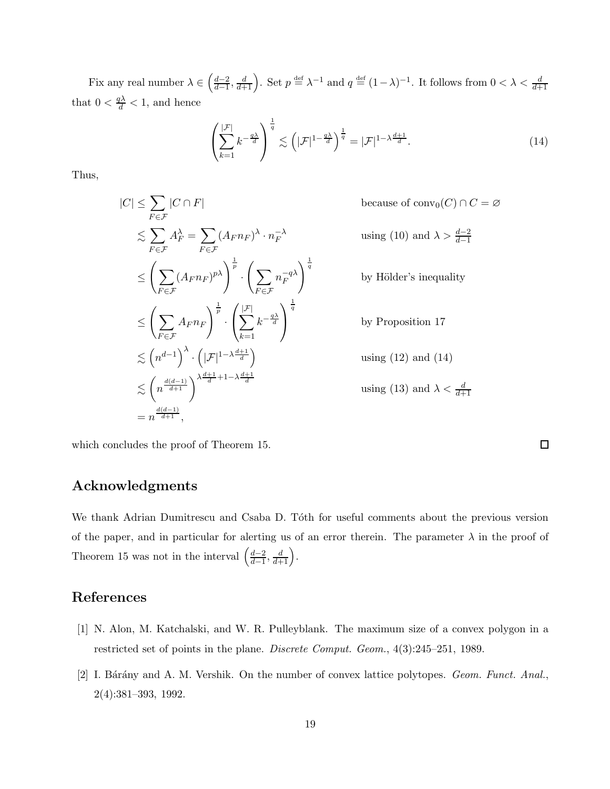Fix any real number  $\lambda \in \left( \frac{d-2}{d-1} \right)$  $\left(\frac{d-2}{d-1}, \frac{d}{d+1}\right)$ . Set  $p \stackrel{\text{def}}{=} \lambda^{-1}$  and  $q \stackrel{\text{def}}{=} (1-\lambda)^{-1}$ . It follows from  $0 < \lambda < \frac{d}{d+1}$ that  $0 < \frac{q\lambda}{d} < 1$ , and hence

<span id="page-18-2"></span>
$$
\left(\sum_{k=1}^{|\mathcal{F}|} k^{-\frac{q\lambda}{d}}\right)^{\frac{1}{q}} \lesssim \left(|\mathcal{F}|^{1-\frac{q\lambda}{d}}\right)^{\frac{1}{q}} = |\mathcal{F}|^{1-\lambda\frac{d+1}{d}}.\tag{14}
$$

 $\Box$ 

Thus,

$$
|C| \leq \sum_{F \in \mathcal{F}} |C \cap F|
$$
 because of  $conv_0(C) \cap C = \varnothing$   
\n
$$
\lesssim \sum_{F \in \mathcal{F}} A_F^{\lambda} = \sum_{F \in \mathcal{F}} (A_F n_F)^{\lambda} \cdot n_F^{-\lambda}
$$
 using (10) and  $\lambda > \frac{d-2}{d-1}$   
\n
$$
\leq \left(\sum_{F \in \mathcal{F}} (A_F n_F)^{p\lambda}\right)^{\frac{1}{p}} \cdot \left(\sum_{F \in \mathcal{F}} n_F^{-q\lambda}\right)^{\frac{1}{q}}
$$
 by Hölder's inequality  
\n
$$
\leq \left(\sum_{F \in \mathcal{F}} A_F n_F\right)^{\frac{1}{p}} \cdot \left(\sum_{k=1}^{|\mathcal{F}|} k^{-\frac{q\lambda}{d}}\right)^{\frac{1}{q}}
$$
 by Proposition 17  
\n
$$
\lesssim \left(n^{d-1}\right)^{\lambda} \cdot \left(|\mathcal{F}|^{1-\lambda \frac{d+1}{d}}\right)
$$
 using (12) and (14)  
\n
$$
\lesssim \left(n^{\frac{d(d-1)}{d+1}}\right)^{\lambda \frac{d+1}{d}+1-\lambda \frac{d+1}{d}}
$$
 using (13) and  $\lambda < \frac{d}{d+1}$   
\n
$$
= n^{\frac{d(d-1)}{d+1}},
$$

which concludes the proof of [Theorem 15.](#page-13-1)

## Acknowledgments

We thank Adrian Dumitrescu and Csaba D. Toth for useful comments about the previous version of the paper, and in particular for alerting us of an error therein. The parameter  $\lambda$  in the proof of [Theorem 15](#page-13-1) was not in the interval  $\left(\frac{d-2}{d-1}\right)$  $\left(\frac{d-2}{d-1}, \frac{d}{d+1}\right)$ .

## <span id="page-18-0"></span>References

- <span id="page-18-1"></span>[1] N. Alon, M. Katchalski, and W. R. Pulleyblank. The maximum size of a convex polygon in a restricted set of points in the plane. Discrete Comput. Geom., 4(3):245–251, 1989.
- [2] I. Bárány and A. M. Vershik. On the number of convex lattice polytopes. *Geom. Funct. Anal.*, 2(4):381–393, 1992.